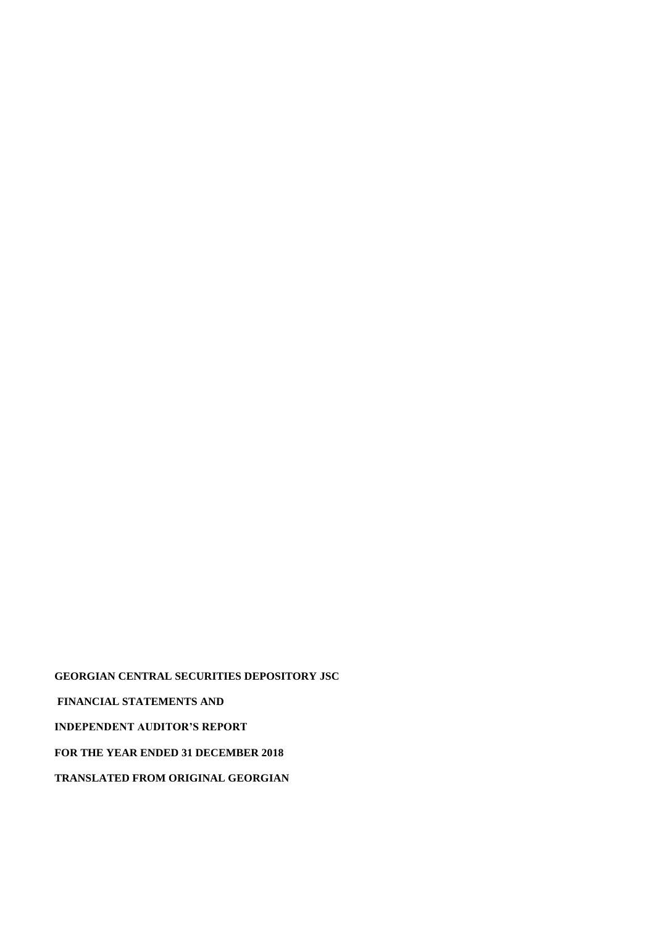**GEORGIAN CENTRAL SECURITIES DEPOSITORY JSC FINANCIAL STATEMENTS AND INDEPENDENT AUDITOR'S REPORT FOR THE YEAR ENDED 31 DECEMBER 2018 TRANSLATED FROM ORIGINAL GEORGIAN**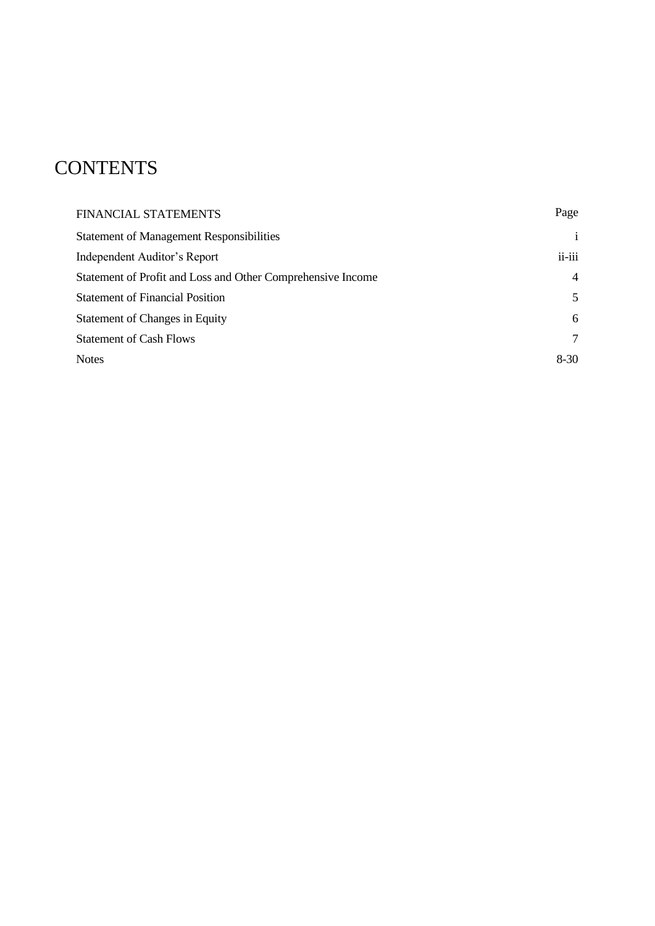# **CONTENTS**

| FINANCIAL STATEMENTS                                        | Page           |
|-------------------------------------------------------------|----------------|
| <b>Statement of Management Responsibilities</b>             | $\mathbf{i}$   |
| Independent Auditor's Report                                | ii-iii         |
| Statement of Profit and Loss and Other Comprehensive Income | $\overline{4}$ |
| <b>Statement of Financial Position</b>                      | 5              |
| <b>Statement of Changes in Equity</b>                       | 6              |
| <b>Statement of Cash Flows</b>                              | $\tau$         |
| <b>Notes</b>                                                | $8-30$         |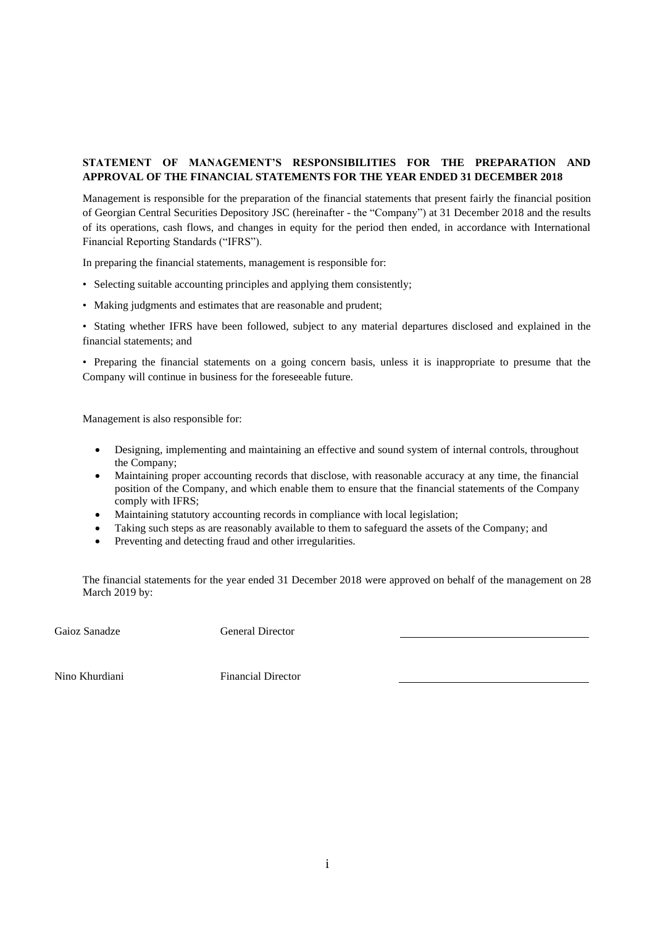#### **STATEMENT OF MANAGEMENT'S RESPONSIBILITIES FOR THE PREPARATION AND APPROVAL OF THE FINANCIAL STATEMENTS FOR THE YEAR ENDED 31 DECEMBER 2018**

Management is responsible for the preparation of the financial statements that present fairly the financial position of Georgian Central Securities Depository JSC (hereinafter - the "Company") at 31 December 2018 and the results of its operations, cash flows, and changes in equity for the period then ended, in accordance with International Financial Reporting Standards ("IFRS").

In preparing the financial statements, management is responsible for:

- Selecting suitable accounting principles and applying them consistently;
- Making judgments and estimates that are reasonable and prudent;

• Stating whether IFRS have been followed, subject to any material departures disclosed and explained in the financial statements; and

• Preparing the financial statements on a going concern basis, unless it is inappropriate to presume that the Company will continue in business for the foreseeable future.

Management is also responsible for:

- Designing, implementing and maintaining an effective and sound system of internal controls, throughout the Company;
- Maintaining proper accounting records that disclose, with reasonable accuracy at any time, the financial position of the Company, and which enable them to ensure that the financial statements of the Company comply with IFRS;
- Maintaining statutory accounting records in compliance with local legislation;
- Taking such steps as are reasonably available to them to safeguard the assets of the Company; and
- Preventing and detecting fraud and other irregularities.

The financial statements for the year ended 31 December 2018 were approved on behalf of the management on 28 March 2019 by:

Gaioz Sanadze **General Director** 

Nino Khurdiani **Financial Director**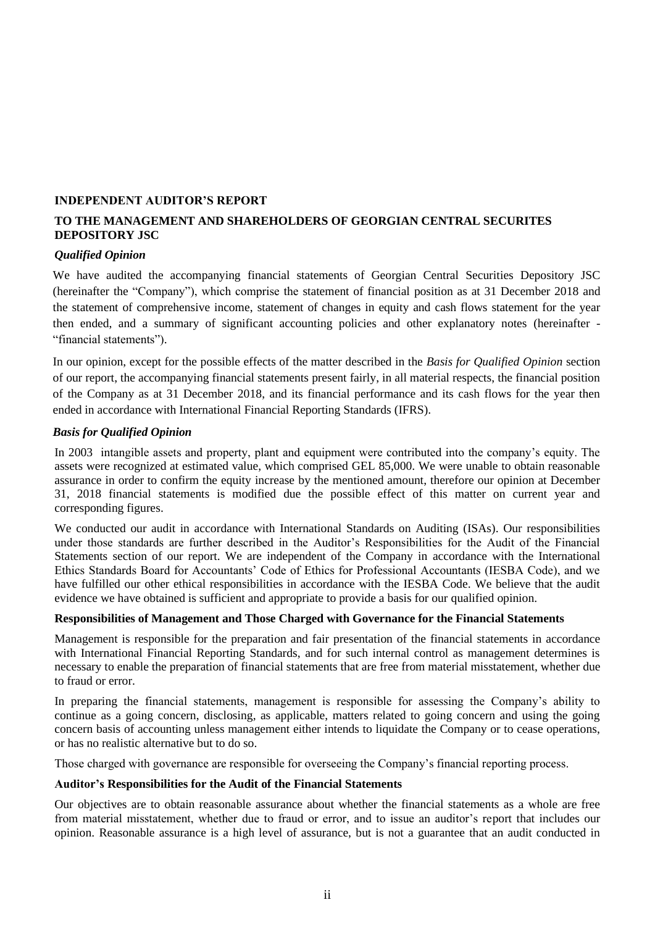#### **INDEPENDENT AUDITOR'S REPORT**

# **TO THE MANAGEMENT AND SHAREHOLDERS OF GEORGIAN CENTRAL SECURITES DEPOSITORY JSC**

#### *Qualified Opinion*

We have audited the accompanying financial statements of Georgian Central Securities Depository JSC (hereinafter the "Company"), which comprise the statement of financial position as at 31 December 2018 and the statement of comprehensive income, statement of changes in equity and cash flows statement for the year then ended, and a summary of significant accounting policies and other explanatory notes (hereinafter - "financial statements").

In our opinion, except for the possible effects of the matter described in the *Basis for Qualified Opinion* section of our report, the accompanying financial statements present fairly, in all material respects, the financial position of the Company as at 31 December 2018, and its financial performance and its cash flows for the year then ended in accordance with International Financial Reporting Standards (IFRS).

#### *Basis for Qualified Opinion*

In 2003 intangible assets and property, plant and equipment were contributed into the company's equity. The assets were recognized at estimated value, which comprised GEL 85,000. We were unable to obtain reasonable assurance in order to confirm the equity increase by the mentioned amount, therefore our opinion at December 31, 2018 financial statements is modified due the possible effect of this matter on current year and corresponding figures.

We conducted our audit in accordance with International Standards on Auditing (ISAs). Our responsibilities under those standards are further described in the Auditor's Responsibilities for the Audit of the Financial Statements section of our report. We are independent of the Company in accordance with the International Ethics Standards Board for Accountants' Code of Ethics for Professional Accountants (IESBA Code), and we have fulfilled our other ethical responsibilities in accordance with the IESBA Code. We believe that the audit evidence we have obtained is sufficient and appropriate to provide a basis for our qualified opinion.

#### **Responsibilities of Management and Those Charged with Governance for the Financial Statements**

Management is responsible for the preparation and fair presentation of the financial statements in accordance with International Financial Reporting Standards, and for such internal control as management determines is necessary to enable the preparation of financial statements that are free from material misstatement, whether due to fraud or error.

In preparing the financial statements, management is responsible for assessing the Company's ability to continue as a going concern, disclosing, as applicable, matters related to going concern and using the going concern basis of accounting unless management either intends to liquidate the Company or to cease operations, or has no realistic alternative but to do so.

Those charged with governance are responsible for overseeing the Company's financial reporting process.

#### **Auditor's Responsibilities for the Audit of the Financial Statements**

Our objectives are to obtain reasonable assurance about whether the financial statements as a whole are free from material misstatement, whether due to fraud or error, and to issue an auditor's report that includes our opinion. Reasonable assurance is a high level of assurance, but is not a guarantee that an audit conducted in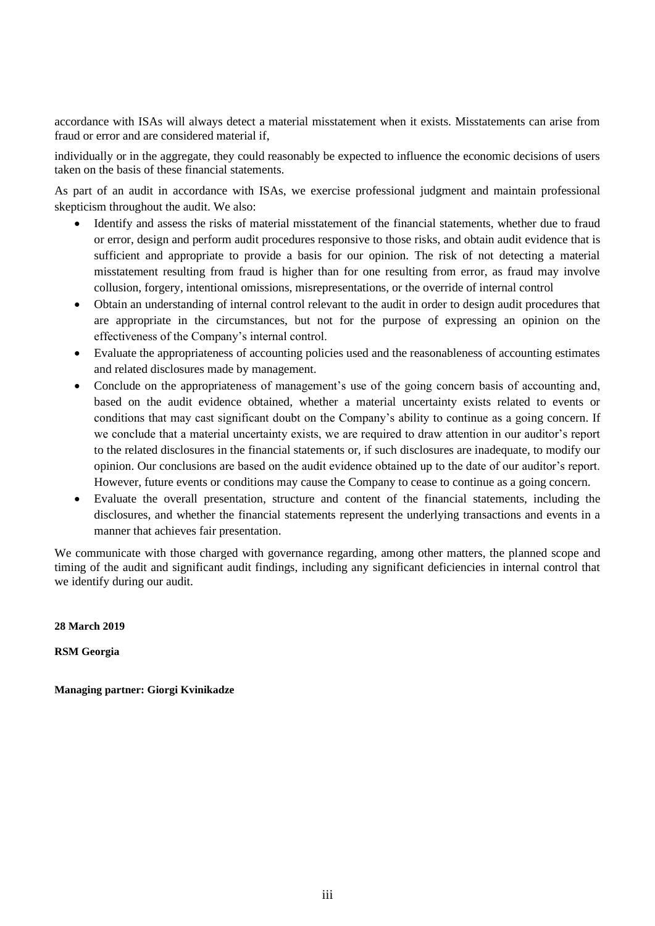accordance with ISAs will always detect a material misstatement when it exists. Misstatements can arise from fraud or error and are considered material if,

individually or in the aggregate, they could reasonably be expected to influence the economic decisions of users taken on the basis of these financial statements.

As part of an audit in accordance with ISAs, we exercise professional judgment and maintain professional skepticism throughout the audit. We also:

- Identify and assess the risks of material misstatement of the financial statements, whether due to fraud or error, design and perform audit procedures responsive to those risks, and obtain audit evidence that is sufficient and appropriate to provide a basis for our opinion. The risk of not detecting a material misstatement resulting from fraud is higher than for one resulting from error, as fraud may involve collusion, forgery, intentional omissions, misrepresentations, or the override of internal control
- Obtain an understanding of internal control relevant to the audit in order to design audit procedures that are appropriate in the circumstances, but not for the purpose of expressing an opinion on the effectiveness of the Company's internal control.
- Evaluate the appropriateness of accounting policies used and the reasonableness of accounting estimates and related disclosures made by management.
- Conclude on the appropriateness of management's use of the going concern basis of accounting and, based on the audit evidence obtained, whether a material uncertainty exists related to events or conditions that may cast significant doubt on the Company's ability to continue as a going concern. If we conclude that a material uncertainty exists, we are required to draw attention in our auditor's report to the related disclosures in the financial statements or, if such disclosures are inadequate, to modify our opinion. Our conclusions are based on the audit evidence obtained up to the date of our auditor's report. However, future events or conditions may cause the Company to cease to continue as a going concern.
- Evaluate the overall presentation, structure and content of the financial statements, including the disclosures, and whether the financial statements represent the underlying transactions and events in a manner that achieves fair presentation.

We communicate with those charged with governance regarding, among other matters, the planned scope and timing of the audit and significant audit findings, including any significant deficiencies in internal control that we identify during our audit.

**28 March 2019**

**RSM Georgia**

**Managing partner: Giorgi Kvinikadze**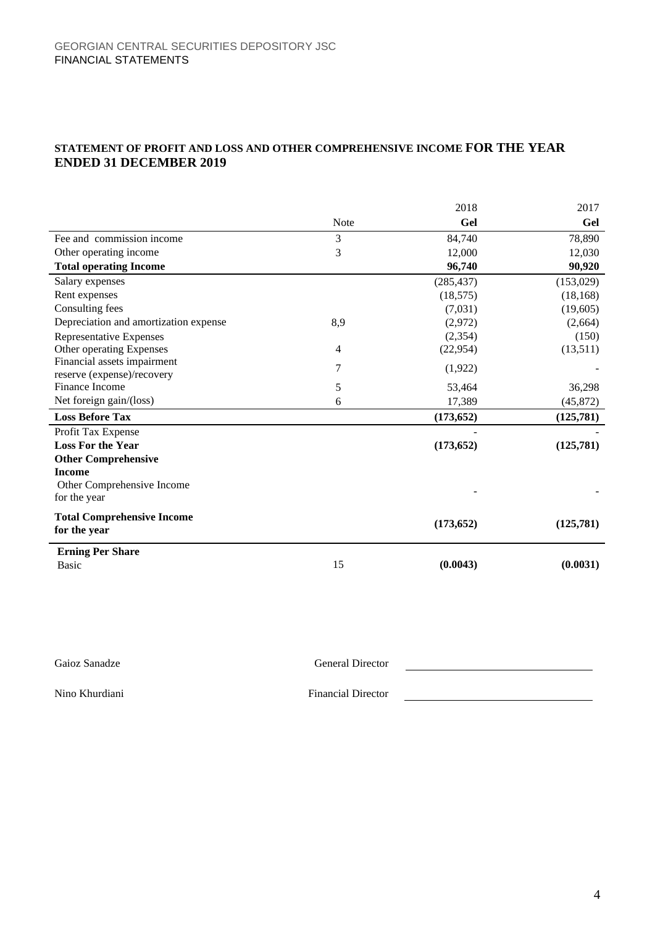# **STATEMENT OF PROFIT AND LOSS AND OTHER COMPREHENSIVE INCOME FOR THE YEAR ENDED 31 DECEMBER 2019**

|                                       |             | 2018       | 2017      |
|---------------------------------------|-------------|------------|-----------|
|                                       | <b>Note</b> | Gel        | Gel       |
| Fee and commission income             | 3           | 84,740     | 78,890    |
| Other operating income                | 3           | 12,000     | 12,030    |
| <b>Total operating Income</b>         |             | 96,740     | 90,920    |
| Salary expenses                       |             | (285, 437) | (153,029) |
| Rent expenses                         |             | (18, 575)  | (18, 168) |
| Consulting fees                       |             | (7,031)    | (19,605)  |
| Depreciation and amortization expense | 8,9         | (2,972)    | (2,664)   |
| Representative Expenses               |             | (2,354)    | (150)     |
| Other operating Expenses              | 4           | (22, 954)  | (13,511)  |
| Financial assets impairment           | 7           | (1,922)    |           |
| reserve (expense)/recovery            |             |            |           |
| Finance Income                        | 5           | 53,464     | 36,298    |
| Net foreign gain/(loss)               | 6           | 17,389     | (45, 872) |
| <b>Loss Before Tax</b>                |             | (173, 652) | (125,781) |
| Profit Tax Expense                    |             |            |           |
| <b>Loss For the Year</b>              |             | (173, 652) | (125,781) |
| <b>Other Comprehensive</b>            |             |            |           |
| <b>Income</b>                         |             |            |           |
| Other Comprehensive Income            |             |            |           |
| for the year                          |             |            |           |
| <b>Total Comprehensive Income</b>     |             |            |           |
| for the year                          |             | (173, 652) | (125,781) |
| <b>Erning Per Share</b>               |             |            |           |
| <b>Basic</b>                          | 15          | (0.0043)   | (0.0031)  |

| Gaioz Sanadze  | <b>General Director</b>   |  |
|----------------|---------------------------|--|
| Nino Khurdiani | <b>Financial Director</b> |  |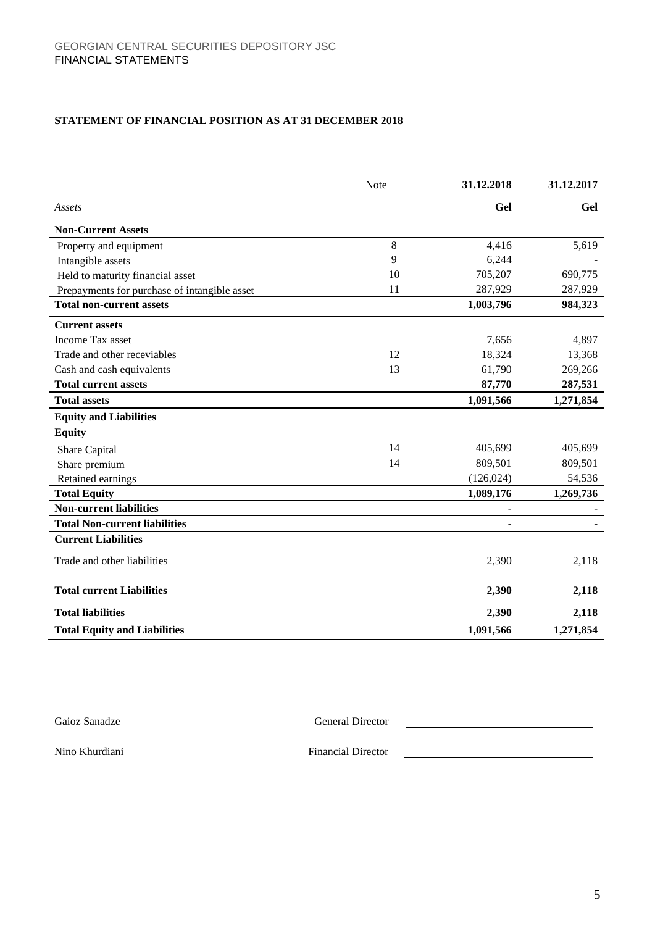#### **STATEMENT OF FINANCIAL POSITION AS AT 31 DECEMBER 2018**

|                                              | <b>Note</b> | 31.12.2018 | 31.12.2017 |
|----------------------------------------------|-------------|------------|------------|
| Assets                                       |             | Gel        | Gel        |
| <b>Non-Current Assets</b>                    |             |            |            |
| Property and equipment                       | 8           | 4,416      | 5,619      |
| Intangible assets                            | 9           | 6,244      |            |
| Held to maturity financial asset             | 10          | 705,207    | 690,775    |
| Prepayments for purchase of intangible asset | 11          | 287,929    | 287,929    |
| <b>Total non-current assets</b>              |             | 1,003,796  | 984,323    |
| <b>Current assets</b>                        |             |            |            |
| Income Tax asset                             |             | 7,656      | 4,897      |
| Trade and other receviables                  | 12          | 18,324     | 13,368     |
| Cash and cash equivalents                    | 13          | 61,790     | 269,266    |
| <b>Total current assets</b>                  |             | 87,770     | 287,531    |
| <b>Total assets</b>                          |             | 1,091,566  | 1,271,854  |
| <b>Equity and Liabilities</b>                |             |            |            |
| <b>Equity</b>                                |             |            |            |
| Share Capital                                | 14          | 405,699    | 405,699    |
| Share premium                                | 14          | 809,501    | 809,501    |
| Retained earnings                            |             | (126, 024) | 54,536     |
| <b>Total Equity</b>                          |             | 1,089,176  | 1,269,736  |
| <b>Non-current liabilities</b>               |             |            |            |
| <b>Total Non-current liabilities</b>         |             |            |            |
| <b>Current Liabilities</b>                   |             |            |            |
| Trade and other liabilities                  |             | 2,390      | 2,118      |
| <b>Total current Liabilities</b>             |             | 2,390      | 2,118      |
| <b>Total liabilities</b>                     |             | 2,390      | 2,118      |
| <b>Total Equity and Liabilities</b>          |             | 1,091,566  | 1,271,854  |

Gaioz Sanadze General Director

Nino Khurdiani Financial Director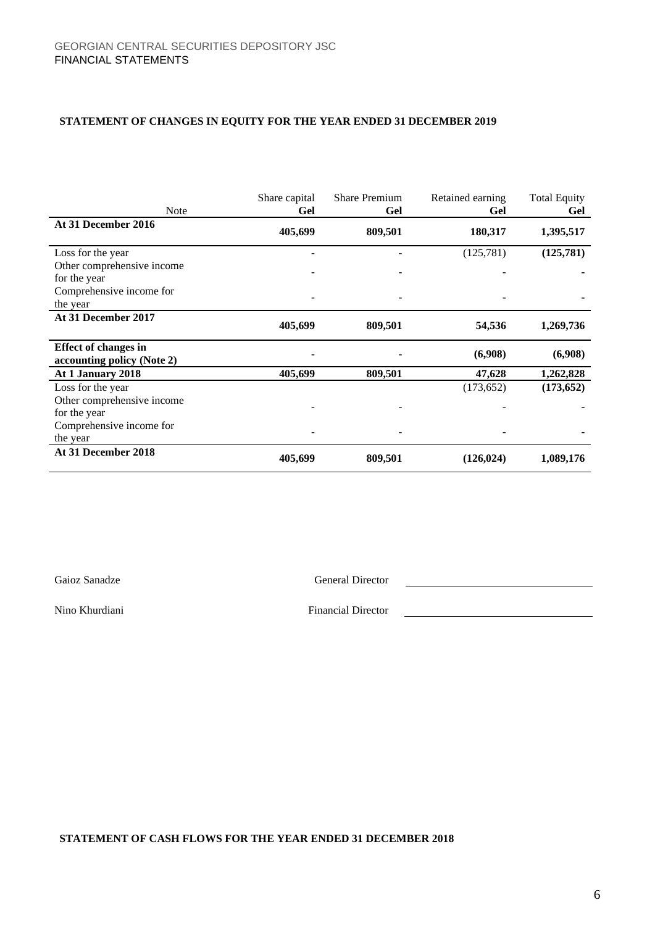#### **STATEMENT OF CHANGES IN EQUITY FOR THE YEAR ENDED 31 DECEMBER 2019**

|                                                           | Share capital | <b>Share Premium</b> | Retained earning | <b>Total Equity</b> |
|-----------------------------------------------------------|---------------|----------------------|------------------|---------------------|
| <b>Note</b>                                               | Gel           | Gel                  | Gel              | Gel                 |
| At 31 December 2016                                       | 405,699       | 809,501              | 180,317          | 1,395,517           |
| Loss for the year                                         |               |                      | (125,781)        | (125,781)           |
| Other comprehensive income<br>for the year                |               |                      |                  |                     |
| Comprehensive income for<br>the year                      |               |                      |                  |                     |
| At 31 December 2017                                       | 405,699       | 809,501              | 54,536           | 1,269,736           |
| <b>Effect of changes in</b><br>accounting policy (Note 2) |               |                      | (6,908)          | (6,908)             |
| At 1 January 2018                                         | 405,699       | 809,501              | 47,628           | 1,262,828           |
| Loss for the year                                         |               |                      | (173, 652)       | (173, 652)          |
| Other comprehensive income                                |               |                      |                  |                     |
| for the year                                              |               |                      |                  |                     |
| Comprehensive income for                                  |               |                      |                  |                     |
| the year                                                  |               |                      |                  |                     |
| At 31 December 2018                                       | 405,699       | 809,501              | (126, 024)       | 1,089,176           |

Gaioz Sanadze General Director

Nino Khurdiani **Financial Director** 

**STATEMENT OF CASH FLOWS FOR THE YEAR ENDED 31 DECEMBER 2018**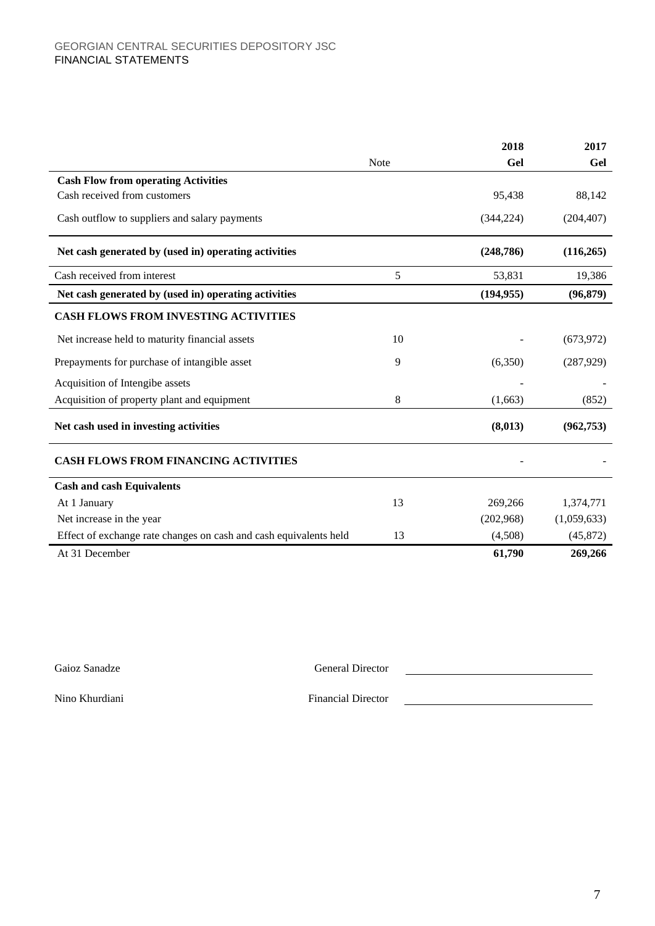|                                                                   |             | 2018       | 2017        |
|-------------------------------------------------------------------|-------------|------------|-------------|
|                                                                   | <b>Note</b> | Gel        | Gel         |
| <b>Cash Flow from operating Activities</b>                        |             |            |             |
| Cash received from customers                                      |             | 95,438     | 88,142      |
| Cash outflow to suppliers and salary payments                     |             | (344, 224) | (204, 407)  |
| Net cash generated by (used in) operating activities              |             | (248, 786) | (116, 265)  |
| Cash received from interest                                       | 5           | 53,831     | 19,386      |
| Net cash generated by (used in) operating activities              |             | (194, 955) | (96, 879)   |
| <b>CASH FLOWS FROM INVESTING ACTIVITIES</b>                       |             |            |             |
| Net increase held to maturity financial assets                    | 10          |            | (673, 972)  |
| Prepayments for purchase of intangible asset                      | 9           | (6,350)    | (287, 929)  |
| Acquisition of Intengibe assets                                   |             |            |             |
| Acquisition of property plant and equipment                       | 8           | (1,663)    | (852)       |
| Net cash used in investing activities                             |             | (8,013)    | (962, 753)  |
| CASH FLOWS FROM FINANCING ACTIVITIES                              |             |            |             |
| <b>Cash and cash Equivalents</b>                                  |             |            |             |
| At 1 January                                                      | 13          | 269,266    | 1,374,771   |
| Net increase in the year                                          |             | (202,968)  | (1,059,633) |
| Effect of exchange rate changes on cash and cash equivalents held | 13          | (4,508)    | (45, 872)   |
| At 31 December                                                    |             | 61,790     | 269,266     |

Gaioz Sanadze General Director

Nino Khurdiani **Financial Director**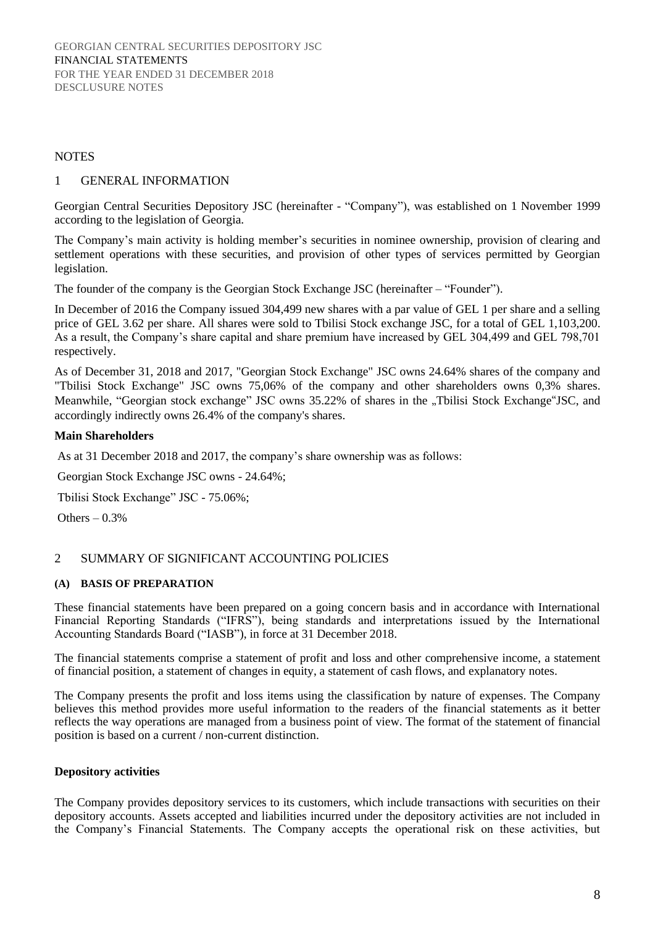## **NOTES**

## 1 GENERAL INFORMATION

Georgian Central Securities Depository JSC (hereinafter - "Company"), was established on 1 November 1999 according to the legislation of Georgia.

The Company's main activity is holding member's securities in nominee ownership, provision of clearing and settlement operations with these securities, and provision of other types of services permitted by Georgian legislation.

The founder of the company is the Georgian Stock Exchange JSC (hereinafter – "Founder").

In December of 2016 the Company issued 304,499 new shares with a par value of GEL 1 per share and a selling price of GEL 3.62 per share. All shares were sold to Tbilisi Stock exchange JSC, for a total of GEL 1,103,200. As a result, the Company's share capital and share premium have increased by GEL 304,499 and GEL 798,701 respectively.

As of December 31, 2018 and 2017, "Georgian Stock Exchange" JSC owns 24.64% shares of the company and "Tbilisi Stock Exchange" JSC owns 75,06% of the company and other shareholders owns 0,3% shares. Meanwhile, "Georgian stock exchange" JSC owns 35.22% of shares in the "Tbilisi Stock Exchange"JSC, and accordingly indirectly owns 26.4% of the company's shares.

#### **Main Shareholders**

As at 31 December 2018 and 2017, the company's share ownership was as follows:

Georgian Stock Exchange JSC owns - 24.64%;

Tbilisi Stock Exchange" JSC - 75.06%;

Others  $-0.3%$ 

## 2 SUMMARY OF SIGNIFICANT ACCOUNTING POLICIES

#### **(A) BASIS OF PREPARATION**

These financial statements have been prepared on a going concern basis and in accordance with International Financial Reporting Standards ("IFRS"), being standards and interpretations issued by the International Accounting Standards Board ("IASB"), in force at 31 December 2018.

The financial statements comprise a statement of profit and loss and other comprehensive income, a statement of financial position, a statement of changes in equity, a statement of cash flows, and explanatory notes.

The Company presents the profit and loss items using the classification by nature of expenses. The Company believes this method provides more useful information to the readers of the financial statements as it better reflects the way operations are managed from a business point of view. The format of the statement of financial position is based on a current / non-current distinction.

## **Depository activities**

The Company provides depository services to its customers, which include transactions with securities on their depository accounts. Assets accepted and liabilities incurred under the depository activities are not included in the Company's Financial Statements. The Company accepts the operational risk on these activities, but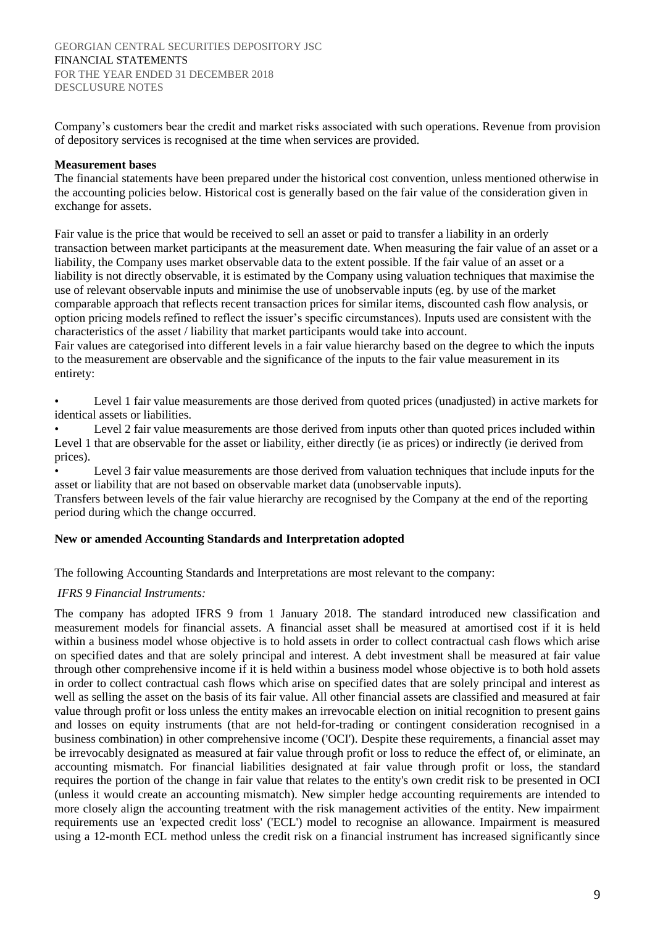GEORGIAN CENTRAL SECURITIES DEPOSITORY JSC FINANCIAL STATEMENTS FOR THE YEAR ENDED 31 DECEMBER 2018 DESCLUSURE NOTES

Company's customers bear the credit and market risks associated with such operations. Revenue from provision of depository services is recognised at the time when services are provided.

#### **Measurement bases**

The financial statements have been prepared under the historical cost convention, unless mentioned otherwise in the accounting policies below. Historical cost is generally based on the fair value of the consideration given in exchange for assets.

Fair value is the price that would be received to sell an asset or paid to transfer a liability in an orderly transaction between market participants at the measurement date. When measuring the fair value of an asset or a liability, the Company uses market observable data to the extent possible. If the fair value of an asset or a liability is not directly observable, it is estimated by the Company using valuation techniques that maximise the use of relevant observable inputs and minimise the use of unobservable inputs (eg. by use of the market comparable approach that reflects recent transaction prices for similar items, discounted cash flow analysis, or option pricing models refined to reflect the issuer's specific circumstances). Inputs used are consistent with the characteristics of the asset / liability that market participants would take into account.

Fair values are categorised into different levels in a fair value hierarchy based on the degree to which the inputs to the measurement are observable and the significance of the inputs to the fair value measurement in its entirety:

• Level 1 fair value measurements are those derived from quoted prices (unadjusted) in active markets for identical assets or liabilities.

Level 2 fair value measurements are those derived from inputs other than quoted prices included within Level 1 that are observable for the asset or liability, either directly (ie as prices) or indirectly (ie derived from prices).

Level 3 fair value measurements are those derived from valuation techniques that include inputs for the asset or liability that are not based on observable market data (unobservable inputs).

Transfers between levels of the fair value hierarchy are recognised by the Company at the end of the reporting period during which the change occurred.

#### **New or amended Accounting Standards and Interpretation adopted**

The following Accounting Standards and Interpretations are most relevant to the company:

## *IFRS 9 Financial Instruments:*

The company has adopted IFRS 9 from 1 January 2018. The standard introduced new classification and measurement models for financial assets. A financial asset shall be measured at amortised cost if it is held within a business model whose objective is to hold assets in order to collect contractual cash flows which arise on specified dates and that are solely principal and interest. A debt investment shall be measured at fair value through other comprehensive income if it is held within a business model whose objective is to both hold assets in order to collect contractual cash flows which arise on specified dates that are solely principal and interest as well as selling the asset on the basis of its fair value. All other financial assets are classified and measured at fair value through profit or loss unless the entity makes an irrevocable election on initial recognition to present gains and losses on equity instruments (that are not held-for-trading or contingent consideration recognised in a business combination) in other comprehensive income ('OCI'). Despite these requirements, a financial asset may be irrevocably designated as measured at fair value through profit or loss to reduce the effect of, or eliminate, an accounting mismatch. For financial liabilities designated at fair value through profit or loss, the standard requires the portion of the change in fair value that relates to the entity's own credit risk to be presented in OCI (unless it would create an accounting mismatch). New simpler hedge accounting requirements are intended to more closely align the accounting treatment with the risk management activities of the entity. New impairment requirements use an 'expected credit loss' ('ECL') model to recognise an allowance. Impairment is measured using a 12-month ECL method unless the credit risk on a financial instrument has increased significantly since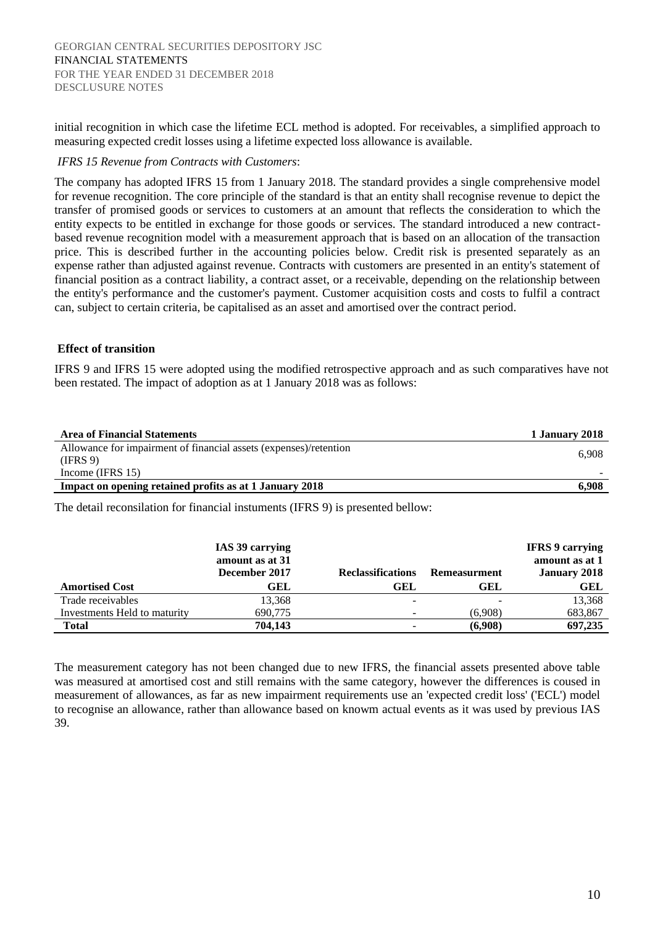initial recognition in which case the lifetime ECL method is adopted. For receivables, a simplified approach to measuring expected credit losses using a lifetime expected loss allowance is available.

#### *IFRS 15 Revenue from Contracts with Customers*:

The company has adopted IFRS 15 from 1 January 2018. The standard provides a single comprehensive model for revenue recognition. The core principle of the standard is that an entity shall recognise revenue to depict the transfer of promised goods or services to customers at an amount that reflects the consideration to which the entity expects to be entitled in exchange for those goods or services. The standard introduced a new contractbased revenue recognition model with a measurement approach that is based on an allocation of the transaction price. This is described further in the accounting policies below. Credit risk is presented separately as an expense rather than adjusted against revenue. Contracts with customers are presented in an entity's statement of financial position as a contract liability, a contract asset, or a receivable, depending on the relationship between the entity's performance and the customer's payment. Customer acquisition costs and costs to fulfil a contract can, subject to certain criteria, be capitalised as an asset and amortised over the contract period.

#### **Effect of transition**

IFRS 9 and IFRS 15 were adopted using the modified retrospective approach and as such comparatives have not been restated. The impact of adoption as at 1 January 2018 was as follows:

| <b>Area of Financial Statements</b>                                           | 1 January 2018 |
|-------------------------------------------------------------------------------|----------------|
| Allowance for impairment of financial assets (expenses)/retention<br>(IFRS 9) | 6.908          |
| Income (IFRS $15$ )                                                           |                |
| Impact on opening retained profits as at 1 January 2018                       | 6.908          |

The detail reconsilation for financial instuments (IFRS 9) is presented bellow:

|                              | IAS 39 carrying<br>amount as at 31<br>December 2017 | <b>Reclassifications</b> | Remeasurment | <b>IFRS</b> 9 carrying<br>amount as at 1<br><b>January 2018</b> |
|------------------------------|-----------------------------------------------------|--------------------------|--------------|-----------------------------------------------------------------|
| <b>Amortised Cost</b>        | GEL                                                 | GEL                      | GEL          | GEL                                                             |
| Trade receivables            | 13,368                                              | $\overline{\phantom{a}}$ |              | 13,368                                                          |
| Investments Held to maturity | 690.775                                             | $\overline{\phantom{0}}$ | (6.908)      | 683,867                                                         |
| <b>Total</b>                 | 704,143                                             | $\sim$                   | (6,908)      | 697,235                                                         |

The measurement category has not been changed due to new IFRS, the financial assets presented above table was measured at amortised cost and still remains with the same category, however the differences is coused in measurement of allowances, as far as new impairment requirements use an 'expected credit loss' ('ECL') model to recognise an allowance, rather than allowance based on knowm actual events as it was used by previous IAS 39.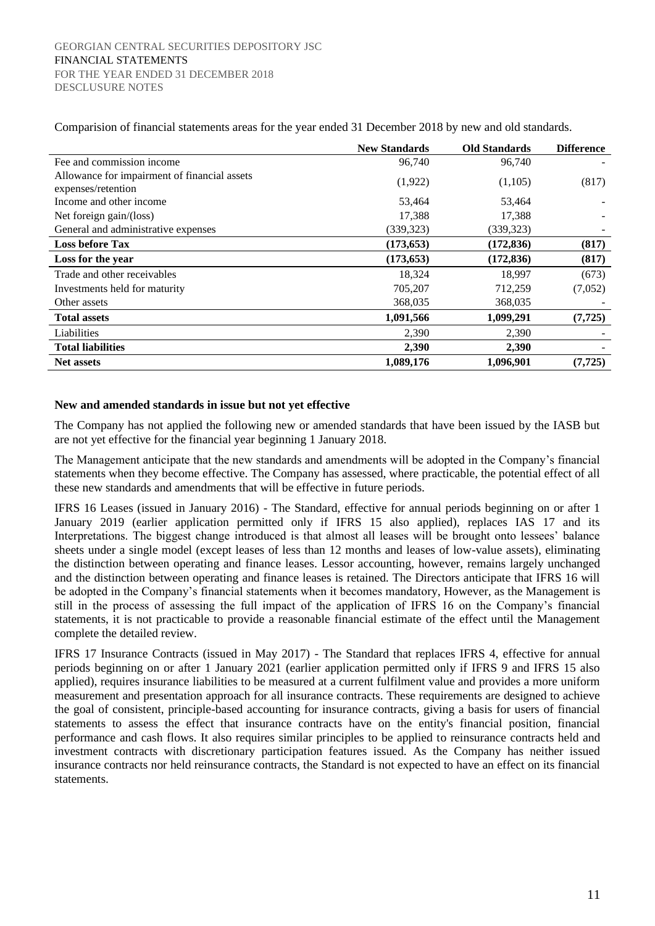#### GEORGIAN CENTRAL SECURITIES DEPOSITORY JSC FINANCIAL STATEMENTS FOR THE YEAR ENDED 31 DECEMBER 2018 DESCLUSURE NOTES

Comparision of financial statements areas for the year ended 31 December 2018 by new and old standards.

|                                                                    | <b>New Standards</b> | <b>Old Standards</b> | <b>Difference</b> |
|--------------------------------------------------------------------|----------------------|----------------------|-------------------|
| Fee and commission income                                          | 96,740               | 96,740               |                   |
| Allowance for impairment of financial assets<br>expenses/retention | (1,922)              | (1,105)              | (817)             |
| Income and other income                                            | 53,464               | 53,464               |                   |
| Net foreign gain/(loss)                                            | 17,388               | 17,388               |                   |
| General and administrative expenses                                | (339, 323)           | (339,323)            |                   |
| <b>Loss before Tax</b>                                             | (173, 653)           | (172, 836)           | (817)             |
| Loss for the year                                                  | (173, 653)           | (172, 836)           | (817)             |
| Trade and other receivables                                        | 18,324               | 18,997               | (673)             |
| Investments held for maturity                                      | 705,207              | 712,259              | (7,052)           |
| Other assets                                                       | 368,035              | 368,035              |                   |
| <b>Total assets</b>                                                | 1,091,566            | 1,099,291            | (7, 725)          |
| Liabilities                                                        | 2,390                | 2,390                |                   |
| <b>Total liabilities</b>                                           | 2,390                | 2,390                |                   |
| <b>Net assets</b>                                                  | 1,089,176            | 1,096,901            | (7, 725)          |

#### **New and amended standards in issue but not yet effective**

The Company has not applied the following new or amended standards that have been issued by the IASB but are not yet effective for the financial year beginning 1 January 2018.

The Management anticipate that the new standards and amendments will be adopted in the Company's financial statements when they become effective. The Company has assessed, where practicable, the potential effect of all these new standards and amendments that will be effective in future periods.

IFRS 16 Leases (issued in January 2016) - The Standard, effective for annual periods beginning on or after 1 January 2019 (earlier application permitted only if IFRS 15 also applied), replaces IAS 17 and its Interpretations. The biggest change introduced is that almost all leases will be brought onto lessees' balance sheets under a single model (except leases of less than 12 months and leases of low-value assets), eliminating the distinction between operating and finance leases. Lessor accounting, however, remains largely unchanged and the distinction between operating and finance leases is retained. The Directors anticipate that IFRS 16 will be adopted in the Company's financial statements when it becomes mandatory, However, as the Management is still in the process of assessing the full impact of the application of IFRS 16 on the Company's financial statements, it is not practicable to provide a reasonable financial estimate of the effect until the Management complete the detailed review.

IFRS 17 Insurance Contracts (issued in May 2017) - The Standard that replaces IFRS 4, effective for annual periods beginning on or after 1 January 2021 (earlier application permitted only if IFRS 9 and IFRS 15 also applied), requires insurance liabilities to be measured at a current fulfilment value and provides a more uniform measurement and presentation approach for all insurance contracts. These requirements are designed to achieve the goal of consistent, principle-based accounting for insurance contracts, giving a basis for users of financial statements to assess the effect that insurance contracts have on the entity's financial position, financial performance and cash flows. It also requires similar principles to be applied to reinsurance contracts held and investment contracts with discretionary participation features issued. As the Company has neither issued insurance contracts nor held reinsurance contracts, the Standard is not expected to have an effect on its financial statements.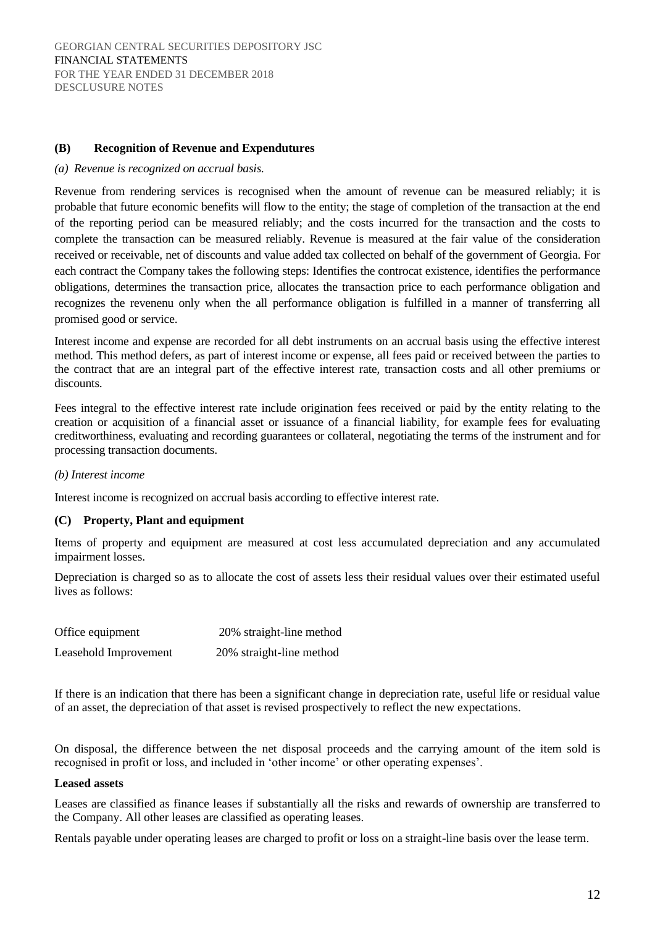#### **(B) Recognition of Revenue and Expendutures**

#### *(a) Revenue is recognized on accrual basis.*

Revenue from rendering services is recognised when the amount of revenue can be measured reliably; it is probable that future economic benefits will flow to the entity; the stage of completion of the transaction at the end of the reporting period can be measured reliably; and the costs incurred for the transaction and the costs to complete the transaction can be measured reliably. Revenue is measured at the fair value of the consideration received or receivable, net of discounts and value added tax collected on behalf of the government of Georgia. For each contract the Company takes the following steps: Identifies the controcat existence, identifies the performance obligations, determines the transaction price, allocates the transaction price to each performance obligation and recognizes the revenenu only when the all performance obligation is fulfilled in a manner of transferring all promised good or service.

Interest income and expense are recorded for all debt instruments on an accrual basis using the effective interest method. This method defers, as part of interest income or expense, all fees paid or received between the parties to the contract that are an integral part of the effective interest rate, transaction costs and all other premiums or discounts.

Fees integral to the effective interest rate include origination fees received or paid by the entity relating to the creation or acquisition of a financial asset or issuance of a financial liability, for example fees for evaluating creditworthiness, evaluating and recording guarantees or collateral, negotiating the terms of the instrument and for processing transaction documents.

#### *(b) Interest income*

Interest income is recognized on accrual basis according to effective interest rate.

#### **(C) Property, Plant and equipment**

Items of property and equipment are measured at cost less accumulated depreciation and any accumulated impairment losses.

Depreciation is charged so as to allocate the cost of assets less their residual values over their estimated useful lives as follows:

| Office equipment      | 20% straight-line method |
|-----------------------|--------------------------|
| Leasehold Improvement | 20% straight-line method |

If there is an indication that there has been a significant change in depreciation rate, useful life or residual value of an asset, the depreciation of that asset is revised prospectively to reflect the new expectations.

On disposal, the difference between the net disposal proceeds and the carrying amount of the item sold is recognised in profit or loss, and included in 'other income' or other operating expenses'.

#### **Leased assets**

Leases are classified as finance leases if substantially all the risks and rewards of ownership are transferred to the Company. All other leases are classified as operating leases.

Rentals payable under operating leases are charged to profit or loss on a straight-line basis over the lease term.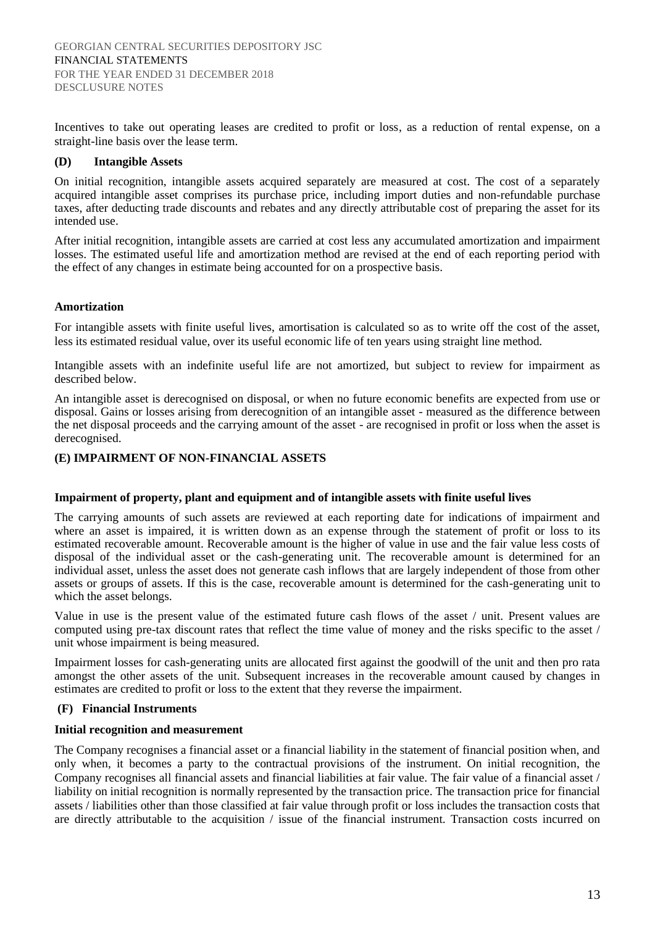Incentives to take out operating leases are credited to profit or loss, as a reduction of rental expense, on a straight-line basis over the lease term.

#### **(D) Intangible Assets**

On initial recognition, intangible assets acquired separately are measured at cost. The cost of a separately acquired intangible asset comprises its purchase price, including import duties and non-refundable purchase taxes, after deducting trade discounts and rebates and any directly attributable cost of preparing the asset for its intended use.

After initial recognition, intangible assets are carried at cost less any accumulated amortization and impairment losses. The estimated useful life and amortization method are revised at the end of each reporting period with the effect of any changes in estimate being accounted for on a prospective basis.

#### **Amortization**

For intangible assets with finite useful lives, amortisation is calculated so as to write off the cost of the asset, less its estimated residual value, over its useful economic life of ten years using straight line method.

Intangible assets with an indefinite useful life are not amortized, but subject to review for impairment as described below.

An intangible asset is derecognised on disposal, or when no future economic benefits are expected from use or disposal. Gains or losses arising from derecognition of an intangible asset - measured as the difference between the net disposal proceeds and the carrying amount of the asset - are recognised in profit or loss when the asset is derecognised.

#### **(E) IMPAIRMENT OF NON-FINANCIAL ASSETS**

#### **Impairment of property, plant and equipment and of intangible assets with finite useful lives**

The carrying amounts of such assets are reviewed at each reporting date for indications of impairment and where an asset is impaired, it is written down as an expense through the statement of profit or loss to its estimated recoverable amount. Recoverable amount is the higher of value in use and the fair value less costs of disposal of the individual asset or the cash-generating unit. The recoverable amount is determined for an individual asset, unless the asset does not generate cash inflows that are largely independent of those from other assets or groups of assets. If this is the case, recoverable amount is determined for the cash-generating unit to which the asset belongs.

Value in use is the present value of the estimated future cash flows of the asset / unit. Present values are computed using pre-tax discount rates that reflect the time value of money and the risks specific to the asset / unit whose impairment is being measured.

Impairment losses for cash-generating units are allocated first against the goodwill of the unit and then pro rata amongst the other assets of the unit. Subsequent increases in the recoverable amount caused by changes in estimates are credited to profit or loss to the extent that they reverse the impairment.

#### **(F) Financial Instruments**

#### **Initial recognition and measurement**

The Company recognises a financial asset or a financial liability in the statement of financial position when, and only when, it becomes a party to the contractual provisions of the instrument. On initial recognition, the Company recognises all financial assets and financial liabilities at fair value. The fair value of a financial asset / liability on initial recognition is normally represented by the transaction price. The transaction price for financial assets / liabilities other than those classified at fair value through profit or loss includes the transaction costs that are directly attributable to the acquisition / issue of the financial instrument. Transaction costs incurred on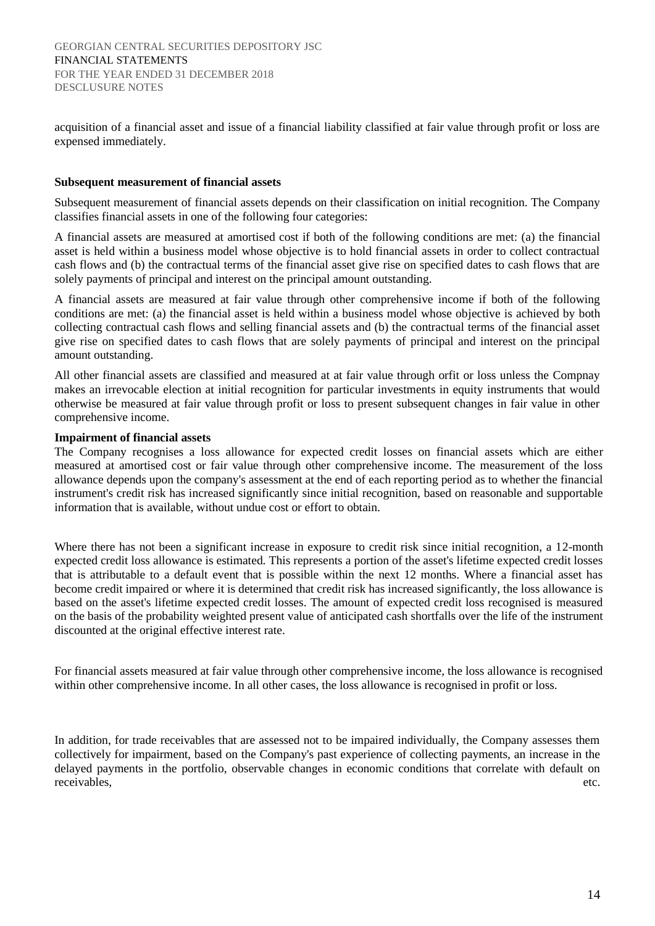acquisition of a financial asset and issue of a financial liability classified at fair value through profit or loss are expensed immediately.

#### **Subsequent measurement of financial assets**

Subsequent measurement of financial assets depends on their classification on initial recognition. The Company classifies financial assets in one of the following four categories:

A financial assets are measured at amortised cost if both of the following conditions are met: (a) the financial asset is held within a business model whose objective is to hold financial assets in order to collect contractual cash flows and (b) the contractual terms of the financial asset give rise on specified dates to cash flows that are solely payments of principal and interest on the principal amount outstanding.

A financial assets are measured at fair value through other comprehensive income if both of the following conditions are met: (a) the financial asset is held within a business model whose objective is achieved by both collecting contractual cash flows and selling financial assets and (b) the contractual terms of the financial asset give rise on specified dates to cash flows that are solely payments of principal and interest on the principal amount outstanding.

All other financial assets are classified and measured at at fair value through orfit or loss unless the Compnay makes an irrevocable election at initial recognition for particular investments in equity instruments that would otherwise be measured at fair value through profit or loss to present subsequent changes in fair value in other comprehensive income.

#### **Impairment of financial assets**

The Company recognises a loss allowance for expected credit losses on financial assets which are either measured at amortised cost or fair value through other comprehensive income. The measurement of the loss allowance depends upon the company's assessment at the end of each reporting period as to whether the financial instrument's credit risk has increased significantly since initial recognition, based on reasonable and supportable information that is available, without undue cost or effort to obtain.

Where there has not been a significant increase in exposure to credit risk since initial recognition, a 12-month expected credit loss allowance is estimated. This represents a portion of the asset's lifetime expected credit losses that is attributable to a default event that is possible within the next 12 months. Where a financial asset has become credit impaired or where it is determined that credit risk has increased significantly, the loss allowance is based on the asset's lifetime expected credit losses. The amount of expected credit loss recognised is measured on the basis of the probability weighted present value of anticipated cash shortfalls over the life of the instrument discounted at the original effective interest rate.

For financial assets measured at fair value through other comprehensive income, the loss allowance is recognised within other comprehensive income. In all other cases, the loss allowance is recognised in profit or loss.

In addition, for trade receivables that are assessed not to be impaired individually, the Company assesses them collectively for impairment, based on the Company's past experience of collecting payments, an increase in the delayed payments in the portfolio, observable changes in economic conditions that correlate with default on receivables, etc.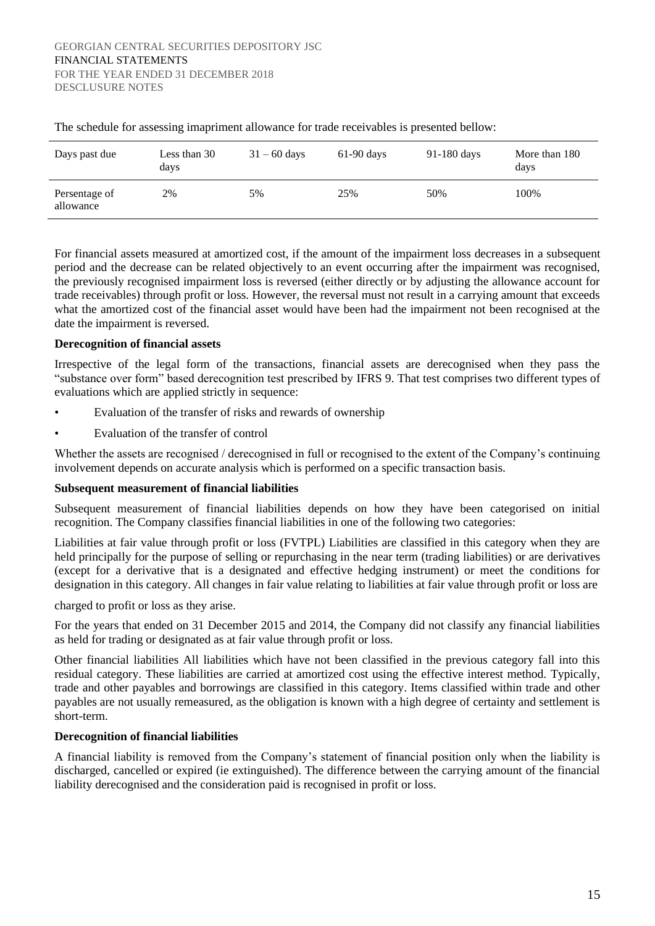| Days past due              | Less than 30<br>days | $31 - 60$ days | $61-90$ days | 91-180 days | More than 180<br>days |
|----------------------------|----------------------|----------------|--------------|-------------|-----------------------|
| Persentage of<br>allowance | 2%                   | 5%             | 25%          | 50%         | 100%                  |

The schedule for assessing imapriment allowance for trade receivables is presented bellow:

For financial assets measured at amortized cost, if the amount of the impairment loss decreases in a subsequent period and the decrease can be related objectively to an event occurring after the impairment was recognised, the previously recognised impairment loss is reversed (either directly or by adjusting the allowance account for trade receivables) through profit or loss. However, the reversal must not result in a carrying amount that exceeds what the amortized cost of the financial asset would have been had the impairment not been recognised at the date the impairment is reversed.

#### **Derecognition of financial assets**

Irrespective of the legal form of the transactions, financial assets are derecognised when they pass the "substance over form" based derecognition test prescribed by IFRS 9. That test comprises two different types of evaluations which are applied strictly in sequence:

- Evaluation of the transfer of risks and rewards of ownership
- Evaluation of the transfer of control

Whether the assets are recognised / derecognised in full or recognised to the extent of the Company's continuing involvement depends on accurate analysis which is performed on a specific transaction basis.

#### **Subsequent measurement of financial liabilities**

Subsequent measurement of financial liabilities depends on how they have been categorised on initial recognition. The Company classifies financial liabilities in one of the following two categories:

Liabilities at fair value through profit or loss (FVTPL) Liabilities are classified in this category when they are held principally for the purpose of selling or repurchasing in the near term (trading liabilities) or are derivatives (except for a derivative that is a designated and effective hedging instrument) or meet the conditions for designation in this category. All changes in fair value relating to liabilities at fair value through profit or loss are

charged to profit or loss as they arise.

For the years that ended on 31 December 2015 and 2014, the Company did not classify any financial liabilities as held for trading or designated as at fair value through profit or loss.

Other financial liabilities All liabilities which have not been classified in the previous category fall into this residual category. These liabilities are carried at amortized cost using the effective interest method. Typically, trade and other payables and borrowings are classified in this category. Items classified within trade and other payables are not usually remeasured, as the obligation is known with a high degree of certainty and settlement is short-term.

#### **Derecognition of financial liabilities**

A financial liability is removed from the Company's statement of financial position only when the liability is discharged, cancelled or expired (ie extinguished). The difference between the carrying amount of the financial liability derecognised and the consideration paid is recognised in profit or loss.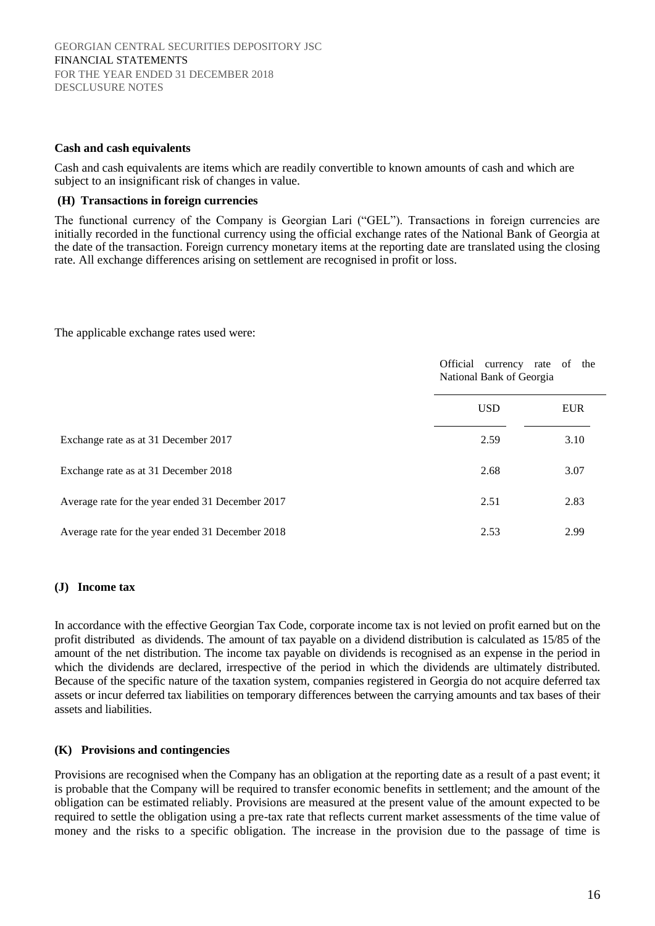#### **Cash and cash equivalents**

Cash and cash equivalents are items which are readily convertible to known amounts of cash and which are subject to an insignificant risk of changes in value.

#### **(H) Transactions in foreign currencies**

The functional currency of the Company is Georgian Lari ("GEL"). Transactions in foreign currencies are initially recorded in the functional currency using the official exchange rates of the National Bank of Georgia at the date of the transaction. Foreign currency monetary items at the reporting date are translated using the closing rate. All exchange differences arising on settlement are recognised in profit or loss.

The applicable exchange rates used were:

|                                                  | Official<br>currency rate of the<br>National Bank of Georgia |            |
|--------------------------------------------------|--------------------------------------------------------------|------------|
|                                                  | <b>USD</b>                                                   | <b>EUR</b> |
| Exchange rate as at 31 December 2017             | 2.59                                                         | 3.10       |
| Exchange rate as at 31 December 2018             | 2.68                                                         | 3.07       |
| Average rate for the year ended 31 December 2017 | 2.51                                                         | 2.83       |
| Average rate for the year ended 31 December 2018 | 2.53                                                         | 2.99       |

#### **(J) Income tax**

In accordance with the effective Georgian Tax Code, corporate income tax is not levied on profit earned but on the profit distributed as dividends. The amount of tax payable on a dividend distribution is calculated as 15/85 of the amount of the net distribution. The income tax payable on dividends is recognised as an expense in the period in which the dividends are declared, irrespective of the period in which the dividends are ultimately distributed. Because of the specific nature of the taxation system, companies registered in Georgia do not acquire deferred tax assets or incur deferred tax liabilities on temporary differences between the carrying amounts and tax bases of their assets and liabilities.

#### **(K) Provisions and contingencies**

Provisions are recognised when the Company has an obligation at the reporting date as a result of a past event; it is probable that the Company will be required to transfer economic benefits in settlement; and the amount of the obligation can be estimated reliably. Provisions are measured at the present value of the amount expected to be required to settle the obligation using a pre-tax rate that reflects current market assessments of the time value of money and the risks to a specific obligation. The increase in the provision due to the passage of time is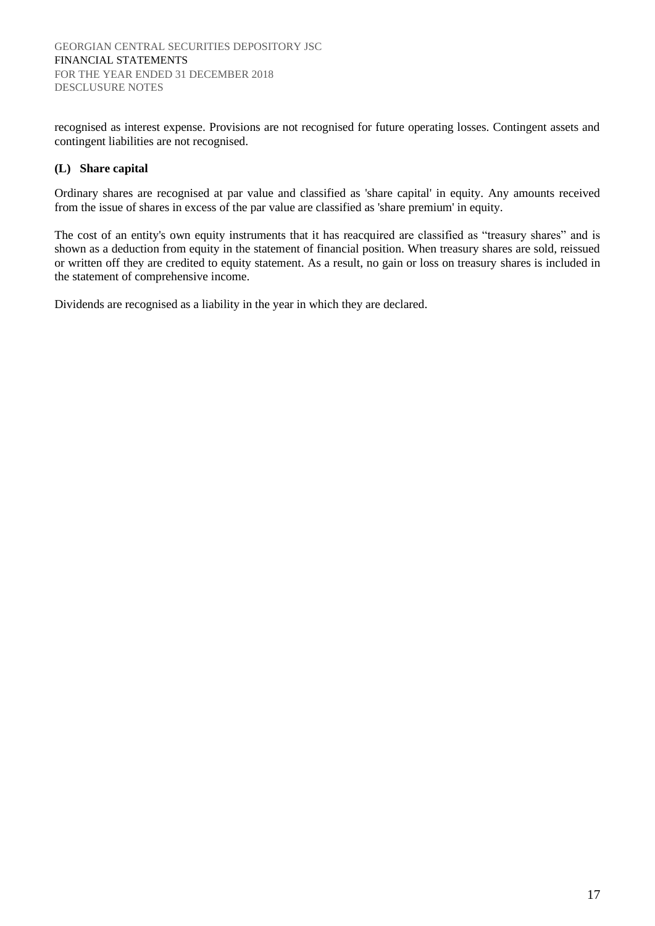recognised as interest expense. Provisions are not recognised for future operating losses. Contingent assets and contingent liabilities are not recognised.

#### **(L) Share capital**

Ordinary shares are recognised at par value and classified as 'share capital' in equity. Any amounts received from the issue of shares in excess of the par value are classified as 'share premium' in equity.

The cost of an entity's own equity instruments that it has reacquired are classified as "treasury shares" and is shown as a deduction from equity in the statement of financial position. When treasury shares are sold, reissued or written off they are credited to equity statement. As a result, no gain or loss on treasury shares is included in the statement of comprehensive income.

Dividends are recognised as a liability in the year in which they are declared.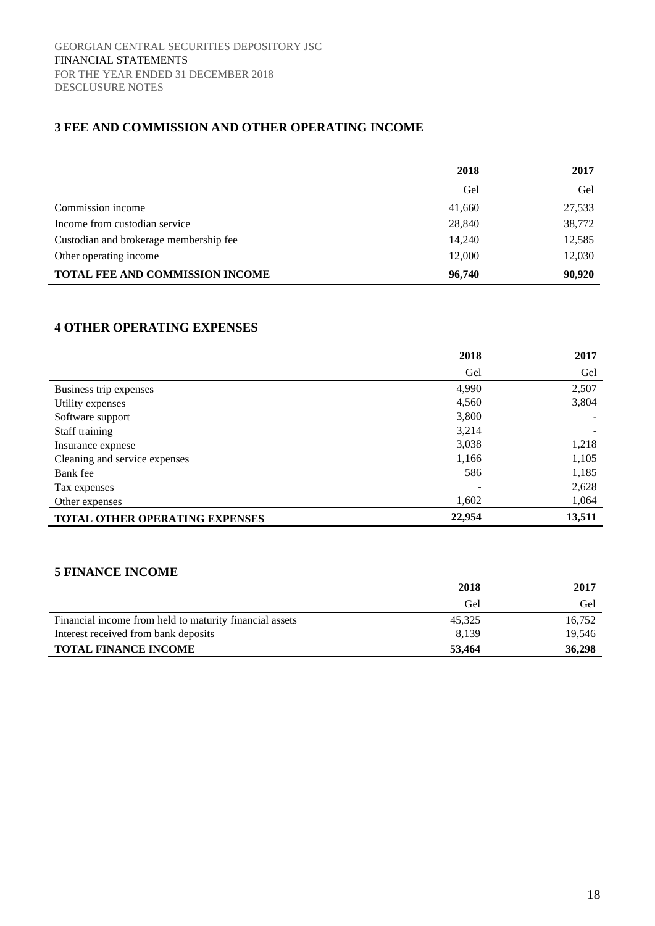# **3 FEE AND COMMISSION AND OTHER OPERATING INCOME**

|                                        | 2018   | 2017   |
|----------------------------------------|--------|--------|
|                                        | Gel    | Gel    |
| Commission income                      | 41,660 | 27,533 |
| Income from custodian service          | 28,840 | 38,772 |
| Custodian and brokerage membership fee | 14,240 | 12,585 |
| Other operating income                 | 12,000 | 12,030 |
| <b>TOTAL FEE AND COMMISSION INCOME</b> | 96,740 | 90,920 |

## **4 OTHER OPERATING EXPENSES**

|                                | 2018   | 2017   |
|--------------------------------|--------|--------|
|                                | Gel    | Gel    |
| Business trip expenses         | 4,990  | 2,507  |
| Utility expenses               | 4,560  | 3,804  |
| Software support               | 3,800  |        |
| Staff training                 | 3,214  |        |
| Insurance expnese              | 3,038  | 1,218  |
| Cleaning and service expenses  | 1,166  | 1,105  |
| Bank fee                       | 586    | 1,185  |
| Tax expenses                   |        | 2,628  |
| Other expenses                 | 1,602  | 1,064  |
| TOTAL OTHER OPERATING EXPENSES | 22,954 | 13,511 |

## **5 FINANCE INCOME**

|                                                         | 2018   | 2017   |
|---------------------------------------------------------|--------|--------|
|                                                         | Gel    | Gel    |
| Financial income from held to maturity financial assets | 45,325 | 16,752 |
| Interest received from bank deposits                    | 8.139  | 19,546 |
| <b>TOTAL FINANCE INCOME</b>                             | 53.464 | 36,298 |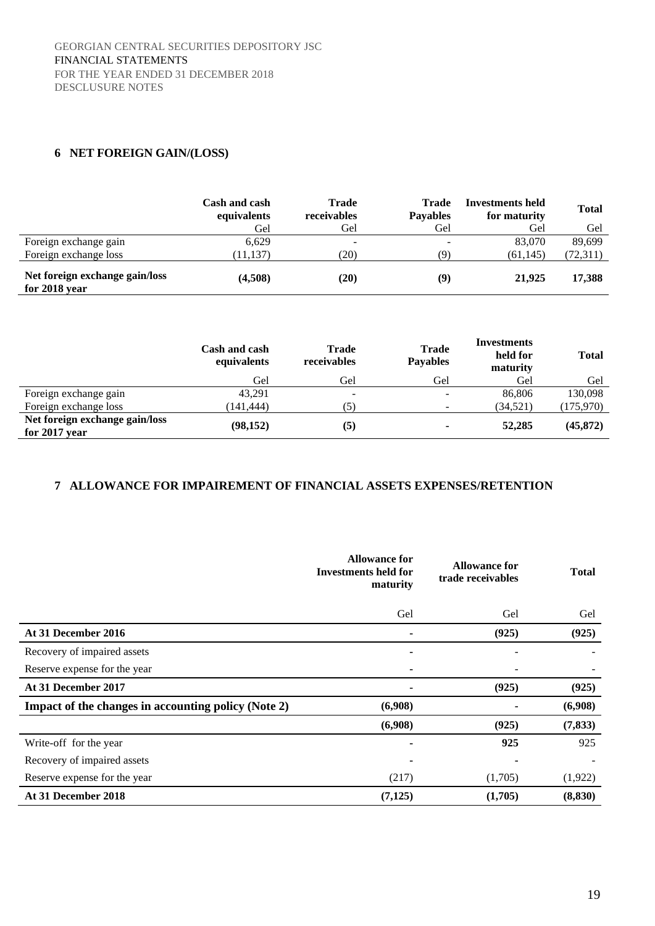# **6 NET FOREIGN GAIN/(LOSS)**

|                                                 | Cash and cash<br>equivalents | <b>Trade</b><br>receivables | Trade<br><b>Payables</b> | Investments held<br>for maturity | <b>Total</b> |
|-------------------------------------------------|------------------------------|-----------------------------|--------------------------|----------------------------------|--------------|
|                                                 | Gel                          | Gel                         | Gel                      | Gel                              | Gel          |
| Foreign exchange gain                           | 6,629                        | $\overline{\phantom{a}}$    | $\overline{\phantom{a}}$ | 83,070                           | 89,699       |
| Foreign exchange loss                           | (11, 137)                    | (20)                        | $\left( 9\right)$        | (61, 145)                        | (72, 311)    |
| Net foreign exchange gain/loss<br>for 2018 year | (4,508)                      | (20)                        | (9)                      | 21,925                           | 17,388       |

|                                                 | Cash and cash<br>equivalents | <b>Trade</b><br>receivables | <b>Trade</b><br><b>Payables</b> | Investments<br>held for<br>maturity | <b>Total</b> |
|-------------------------------------------------|------------------------------|-----------------------------|---------------------------------|-------------------------------------|--------------|
|                                                 | Gel                          | Gel                         | Gel                             | Gel                                 | Gel          |
| Foreign exchange gain                           | 43,291                       | -                           | $\overline{\phantom{a}}$        | 86,806                              | 130,098      |
| Foreign exchange loss                           | (141, 444)                   | 5)                          | $\overline{\phantom{a}}$        | (34.521)                            | (175,970)    |
| Net foreign exchange gain/loss<br>for 2017 year | (98, 152)                    | (5)                         | ۰                               | 52,285                              | (45, 872)    |

## **7 ALLOWANCE FOR IMPAIREMENT OF FINANCIAL ASSETS EXPENSES/RETENTION**

|                                                     | <b>Allowance for</b><br><b>Investments held for</b><br>maturity | <b>Allowance for</b><br>trade receivables | <b>Total</b> |
|-----------------------------------------------------|-----------------------------------------------------------------|-------------------------------------------|--------------|
|                                                     | Gel                                                             | Gel                                       | Gel          |
| At 31 December 2016                                 |                                                                 | (925)                                     | (925)        |
| Recovery of impaired assets                         |                                                                 |                                           |              |
| Reserve expense for the year                        |                                                                 |                                           |              |
| At 31 December 2017                                 |                                                                 | (925)                                     | (925)        |
| Impact of the changes in accounting policy (Note 2) | (6,908)                                                         |                                           | (6,908)      |
|                                                     | (6,908)                                                         | (925)                                     | (7, 833)     |
| Write-off for the year                              |                                                                 | 925                                       | 925          |
| Recovery of impaired assets                         |                                                                 |                                           |              |
| Reserve expense for the year                        | (217)                                                           | (1,705)                                   | (1,922)      |
| At 31 December 2018                                 | (7, 125)                                                        | (1,705)                                   | (8, 830)     |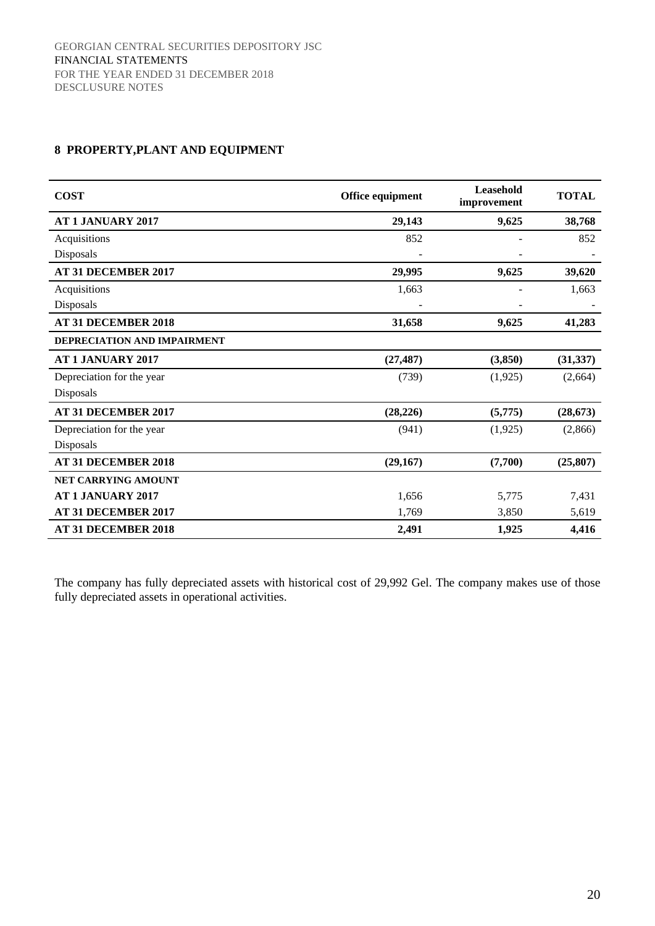# **8 PROPERTY,PLANT AND EQUIPMENT**

| <b>COST</b>                        | Office equipment | Leasehold<br>improvement | <b>TOTAL</b> |
|------------------------------------|------------------|--------------------------|--------------|
| <b>AT 1 JANUARY 2017</b>           | 29,143           | 9,625                    | 38,768       |
| Acquisitions                       | 852              |                          | 852          |
| Disposals                          |                  |                          |              |
| AT 31 DECEMBER 2017                | 29,995           | 9,625                    | 39,620       |
| Acquisitions                       | 1,663            |                          | 1,663        |
| Disposals                          |                  |                          |              |
| <b>AT 31 DECEMBER 2018</b>         | 31,658           | 9,625                    | 41,283       |
| <b>DEPRECIATION AND IMPAIRMENT</b> |                  |                          |              |
| <b>AT 1 JANUARY 2017</b>           | (27, 487)        | (3,850)                  | (31, 337)    |
| Depreciation for the year          | (739)            | (1,925)                  | (2,664)      |
| Disposals                          |                  |                          |              |
| AT 31 DECEMBER 2017                | (28, 226)        | (5,775)                  | (28, 673)    |
| Depreciation for the year          | (941)            | (1,925)                  | (2,866)      |
| Disposals                          |                  |                          |              |
| <b>AT 31 DECEMBER 2018</b>         | (29, 167)        | (7,700)                  | (25, 807)    |
| <b>NET CARRYING AMOUNT</b>         |                  |                          |              |
| <b>AT 1 JANUARY 2017</b>           | 1,656            | 5,775                    | 7,431        |
| AT 31 DECEMBER 2017                | 1,769            | 3,850                    | 5,619        |
| <b>AT 31 DECEMBER 2018</b>         | 2,491            | 1,925                    | 4,416        |

The company has fully depreciated assets with historical cost of 29,992 Gel. The company makes use of those fully depreciated assets in operational activities.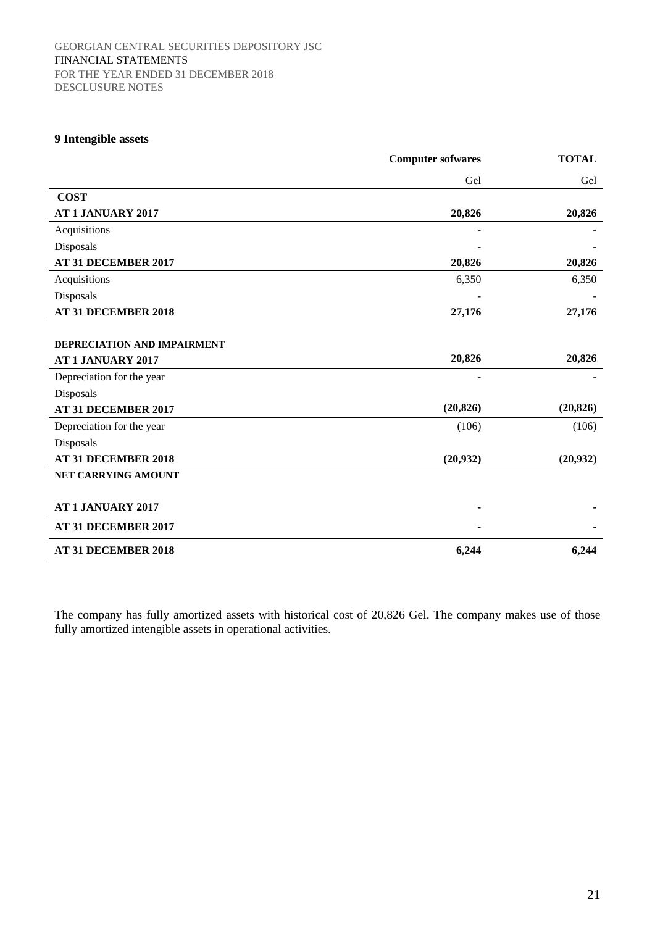## **9 Intengible assets**

|                             | <b>Computer sofwares</b> | <b>TOTAL</b> |
|-----------------------------|--------------------------|--------------|
|                             | Gel                      | Gel          |
| <b>COST</b>                 |                          |              |
| <b>AT 1 JANUARY 2017</b>    | 20,826                   | 20,826       |
| Acquisitions                |                          |              |
| Disposals                   |                          |              |
| AT 31 DECEMBER 2017         | 20,826                   | 20,826       |
| Acquisitions                | 6,350                    | 6,350        |
| Disposals                   |                          |              |
| <b>AT 31 DECEMBER 2018</b>  | 27,176                   | 27,176       |
|                             |                          |              |
| DEPRECIATION AND IMPAIRMENT |                          |              |
| <b>AT 1 JANUARY 2017</b>    | 20,826                   | 20,826       |
| Depreciation for the year   |                          |              |
| Disposals                   |                          |              |
| AT 31 DECEMBER 2017         | (20, 826)                | (20, 826)    |
| Depreciation for the year   | (106)                    | (106)        |
| Disposals                   |                          |              |
| <b>AT 31 DECEMBER 2018</b>  | (20, 932)                | (20, 932)    |
| <b>NET CARRYING AMOUNT</b>  |                          |              |
|                             |                          |              |
| <b>AT 1 JANUARY 2017</b>    |                          |              |
| <b>AT 31 DECEMBER 2017</b>  |                          |              |
| AT 31 DECEMBER 2018         | 6,244                    | 6,244        |

The company has fully amortized assets with historical cost of 20,826 Gel. The company makes use of those fully amortized intengible assets in operational activities.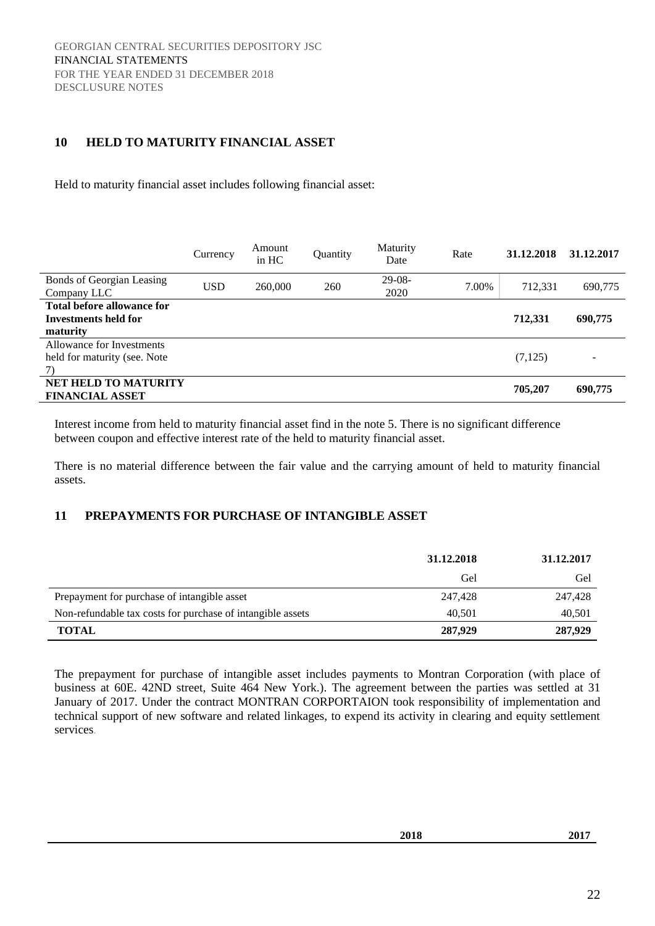## **10 HELD TO MATURITY FINANCIAL ASSET**

Held to maturity financial asset includes following financial asset:

|                                                 | Currency   | Amount<br>in HC | Quantity | Maturity<br>Date | Rate  | 31.12.2018 | 31.12.2017 |
|-------------------------------------------------|------------|-----------------|----------|------------------|-------|------------|------------|
| <b>Bonds of Georgian Leasing</b><br>Company LLC | <b>USD</b> | 260,000         | 260      | $29-08-$<br>2020 | 7.00% | 712,331    | 690,775    |
| Total before allowance for                      |            |                 |          |                  |       |            |            |
| Investments held for                            |            |                 |          |                  |       | 712,331    | 690,775    |
| maturity                                        |            |                 |          |                  |       |            |            |
| Allowance for Investments                       |            |                 |          |                  |       |            |            |
| held for maturity (see. Note                    |            |                 |          |                  |       | (7,125)    |            |
| 7)                                              |            |                 |          |                  |       |            |            |
| <b>NET HELD TO MATURITY</b>                     |            |                 |          |                  |       |            |            |
| <b>FINANCIAL ASSET</b>                          |            |                 |          |                  |       | 705,207    | 690,775    |

Interest income from held to maturity financial asset find in the note 5. There is no significant difference between coupon and effective interest rate of the held to maturity financial asset.

There is no material difference between the fair value and the carrying amount of held to maturity financial assets.

## **11 PREPAYMENTS FOR PURCHASE OF INTANGIBLE ASSET**

|                                                            | 31.12.2018 | 31.12.2017 |
|------------------------------------------------------------|------------|------------|
|                                                            | Gel        | Gel        |
| Prepayment for purchase of intangible asset                | 247,428    | 247,428    |
| Non-refundable tax costs for purchase of intangible assets | 40.501     | 40,501     |
| <b>TOTAL</b>                                               | 287.929    | 287,929    |

The prepayment for purchase of intangible asset includes payments to Montran Corporation (with place of business at 60E. 42ND street, Suite 464 New York.). The agreement between the parties was settled at 31 January of 2017. Under the contract MONTRAN CORPORTAION took responsibility of implementation and technical support of new software and related linkages, to expend its activity in clearing and equity settlement services.

| 2018 | 2017 |
|------|------|
|------|------|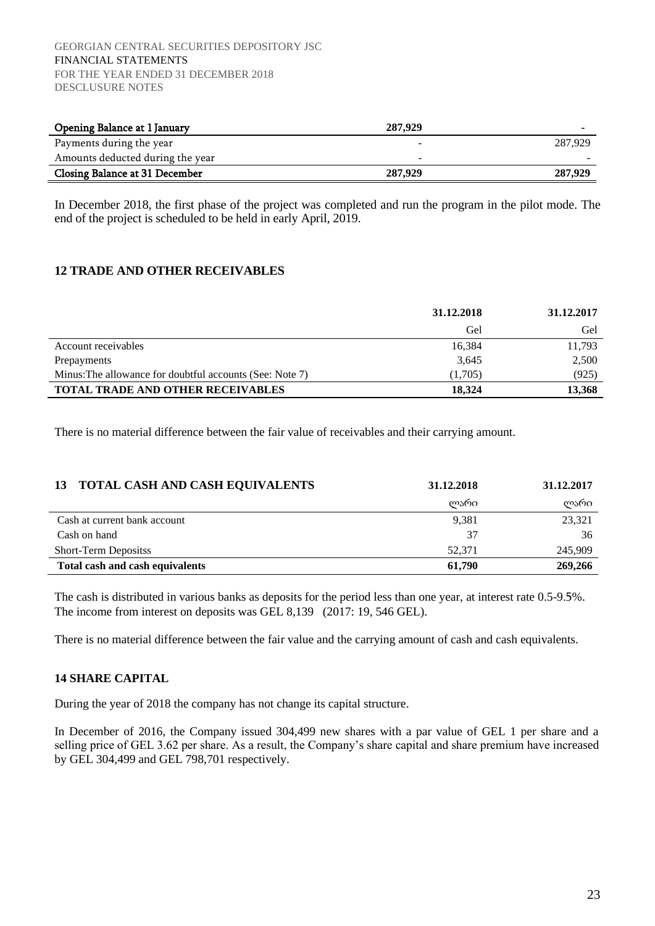#### GEORGIAN CENTRAL SECURITIES DEPOSITORY JSC FINANCIAL STATEMENTS FOR THE YEAR ENDED 31 DECEMBER 2018 DESCLUSURE NOTES

| Opening Balance at 1 January     | 287,929                  |         |
|----------------------------------|--------------------------|---------|
| Payments during the year         |                          | 287,929 |
| Amounts deducted during the year | $\overline{\phantom{a}}$ |         |
| Closing Balance at 31 December   | 287.929                  | 287,929 |

In December 2018, the first phase of the project was completed and run the program in the pilot mode. The end of the project is scheduled to be held in early April, 2019.

## **12 TRADE AND OTHER RECEIVABLES**

|                                                          | 31.12.2018 | 31.12.2017 |
|----------------------------------------------------------|------------|------------|
|                                                          | Gel        | Gel        |
| Account receivables                                      | 16,384     | 11,793     |
| Prepayments                                              | 3,645      | 2,500      |
| Minus: The allowance for doubtful accounts (See: Note 7) | (1,705)    | (925)      |
| <b>TOTAL TRADE AND OTHER RECEIVABLES</b>                 | 18.324     | 13,368     |

There is no material difference between the fair value of receivables and their carrying amount.

| 13 TOTAL CASH AND CASH EQUIVALENTS | 31.12.2018 | 31.12.2017 |
|------------------------------------|------------|------------|
|                                    | ლარი       | ლარი       |
| Cash at current bank account       | 9,381      | 23,321     |
| Cash on hand                       | 37         | 36         |
| <b>Short-Term Depositss</b>        | 52,371     | 245,909    |
| Total cash and cash equivalents    | 61,790     | 269,266    |

The cash is distributed in various banks as deposits for the period less than one year, at interest rate 0.5-9.5%. The income from interest on deposits was GEL 8,139 (2017: 19, 546 GEL).

There is no material difference between the fair value and the carrying amount of cash and cash equivalents.

## **14 SHARE CAPITAL**

During the year of 2018 the company has not change its capital structure.

In December of 2016, the Company issued 304,499 new shares with a par value of GEL 1 per share and a selling price of GEL 3.62 per share. As a result, the Company's share capital and share premium have increased by GEL 304,499 and GEL 798,701 respectively.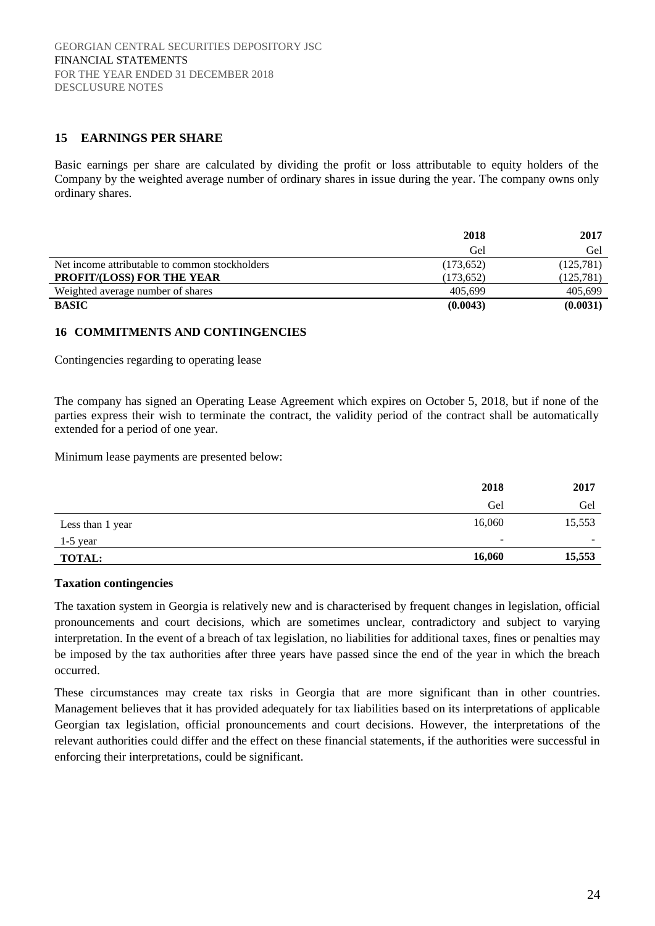## **15 EARNINGS PER SHARE**

Basic earnings per share are calculated by dividing the profit or loss attributable to equity holders of the Company by the weighted average number of ordinary shares in issue during the year. The company owns only ordinary shares.

|                                                | 2018       | 2017       |
|------------------------------------------------|------------|------------|
|                                                | Gel        | Gel        |
| Net income attributable to common stockholders | (173, 652) | (125, 781) |
| <b>PROFIT/(LOSS) FOR THE YEAR</b>              | (173.652)  | (125, 781) |
| Weighted average number of shares              | 405.699    | 405.699    |
| <b>BASIC</b>                                   | (0.0043)   | (0.0031)   |

#### **16 COMMITMENTS AND CONTINGENCIES**

Contingencies regarding to operating lease

The company has signed an Operating Lease Agreement which expires on October 5, 2018, but if none of the parties express their wish to terminate the contract, the validity period of the contract shall be automatically extended for a period of one year.

Minimum lease payments are presented below:

|                  | 2018                     | 2017                     |
|------------------|--------------------------|--------------------------|
|                  | Gel                      | Gel                      |
| Less than 1 year | 16,060                   | 15,553                   |
| $1-5$ year       | $\overline{\phantom{a}}$ | $\overline{\phantom{0}}$ |
| <b>TOTAL:</b>    | 16,060                   | 15,553                   |

#### **Taxation contingencies**

The taxation system in Georgia is relatively new and is characterised by frequent changes in legislation, official pronouncements and court decisions, which are sometimes unclear, contradictory and subject to varying interpretation. In the event of a breach of tax legislation, no liabilities for additional taxes, fines or penalties may be imposed by the tax authorities after three years have passed since the end of the year in which the breach occurred.

These circumstances may create tax risks in Georgia that are more significant than in other countries. Management believes that it has provided adequately for tax liabilities based on its interpretations of applicable Georgian tax legislation, official pronouncements and court decisions. However, the interpretations of the relevant authorities could differ and the effect on these financial statements, if the authorities were successful in enforcing their interpretations, could be significant.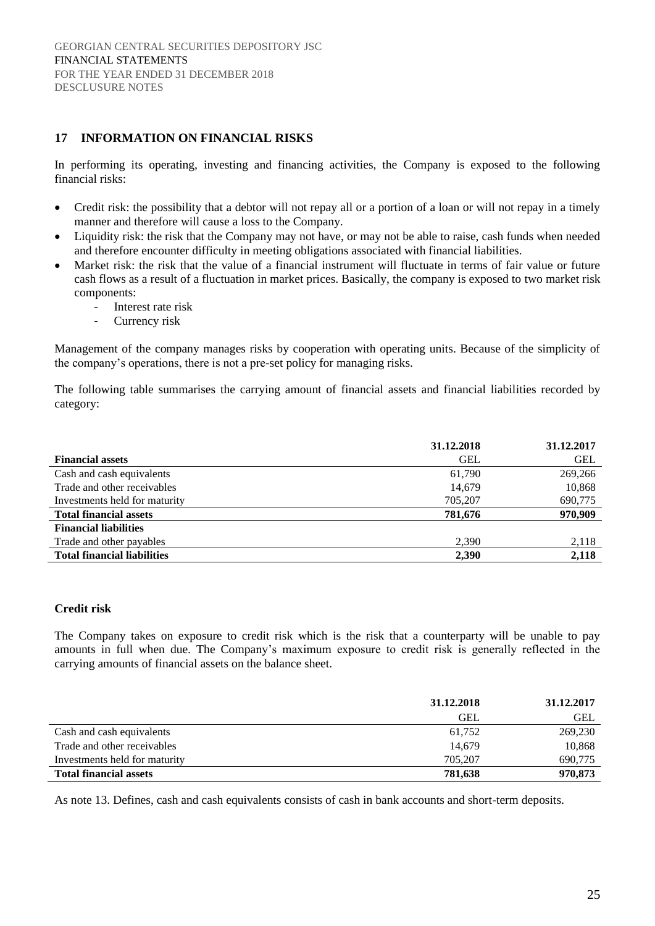# **17 INFORMATION ON FINANCIAL RISKS**

In performing its operating, investing and financing activities, the Company is exposed to the following financial risks:

- Credit risk: the possibility that a debtor will not repay all or a portion of a loan or will not repay in a timely manner and therefore will cause a loss to the Company.
- Liquidity risk: the risk that the Company may not have, or may not be able to raise, cash funds when needed and therefore encounter difficulty in meeting obligations associated with financial liabilities.
- Market risk: the risk that the value of a financial instrument will fluctuate in terms of fair value or future cash flows as a result of a fluctuation in market prices. Basically, the company is exposed to two market risk components:
	- Interest rate risk
	- Currency risk

Management of the company manages risks by cooperation with operating units. Because of the simplicity of the company's operations, there is not a pre-set policy for managing risks.

The following table summarises the carrying amount of financial assets and financial liabilities recorded by category:

|                                    | 31.12.2018 | 31.12.2017 |
|------------------------------------|------------|------------|
| <b>Financial assets</b>            | <b>GEL</b> | <b>GEL</b> |
| Cash and cash equivalents          | 61,790     | 269,266    |
| Trade and other receivables        | 14,679     | 10,868     |
| Investments held for maturity      | 705.207    | 690,775    |
| <b>Total financial assets</b>      | 781,676    | 970,909    |
| <b>Financial liabilities</b>       |            |            |
| Trade and other payables           | 2,390      | 2,118      |
| <b>Total financial liabilities</b> | 2,390      | 2,118      |

#### **Credit risk**

The Company takes on exposure to credit risk which is the risk that a counterparty will be unable to pay amounts in full when due. The Company's maximum exposure to credit risk is generally reflected in the carrying amounts of financial assets on the balance sheet.

|                               | 31.12.2018 | 31.12.2017 |
|-------------------------------|------------|------------|
|                               | GEL        | <b>GEL</b> |
| Cash and cash equivalents     | 61,752     | 269,230    |
| Trade and other receivables   | 14,679     | 10,868     |
| Investments held for maturity | 705.207    | 690.775    |
| <b>Total financial assets</b> | 781.638    | 970,873    |

As note 13. Defines, cash and cash equivalents consists of cash in bank accounts and short-term deposits.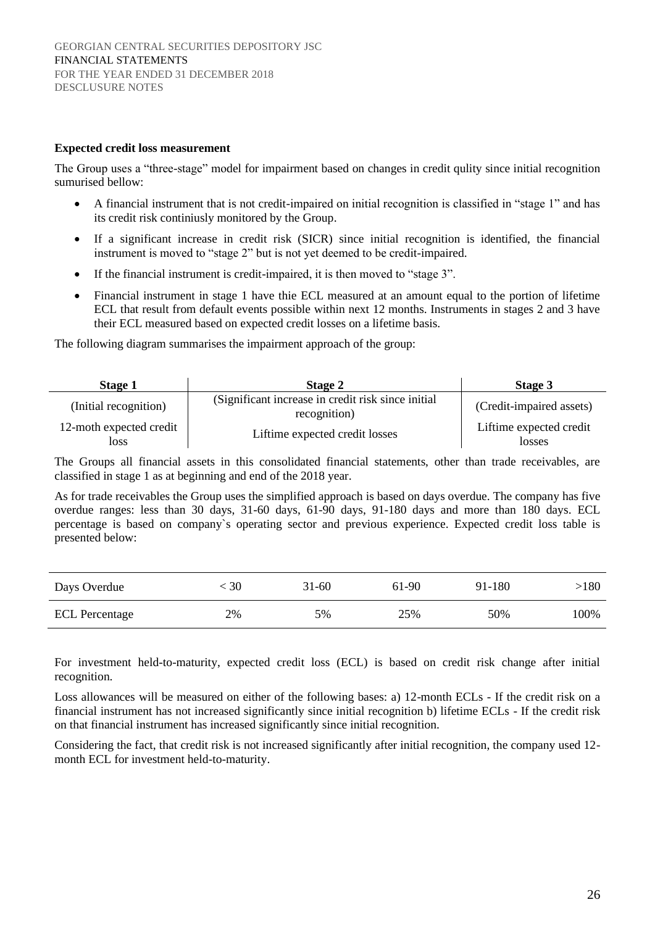#### **Expected credit loss measurement**

The Group uses a "three-stage" model for impairment based on changes in credit qulity since initial recognition sumurised bellow:

- A financial instrument that is not credit-impaired on initial recognition is classified in "stage 1" and has its credit risk continiusly monitored by the Group.
- If a significant increase in credit risk (SICR) since initial recognition is identified, the financial instrument is moved to "stage 2" but is not yet deemed to be credit-impaired.
- If the financial instrument is credit-impaired, it is then moved to "stage 3".
- Financial instrument in stage 1 have thie ECL measured at an amount equal to the portion of lifetime ECL that result from default events possible within next 12 months. Instruments in stages 2 and 3 have their ECL measured based on expected credit losses on a lifetime basis.

The following diagram summarises the impairment approach of the group:

| Stage 1                         | Stage 2                                                             | Stage 3                           |
|---------------------------------|---------------------------------------------------------------------|-----------------------------------|
| (Initial recognition)           | (Significant increase in credit risk since initial)<br>recognition) | (Credit-impaired assets)          |
| 12-moth expected credit<br>loss | Liftime expected credit losses                                      | Liftime expected credit<br>losses |

The Groups all financial assets in this consolidated financial statements, other than trade receivables, are classified in stage 1 as at beginning and end of the 2018 year.

As for trade receivables the Group uses the simplified approach is based on days overdue. The company has five overdue ranges: less than 30 days, 31-60 days, 61-90 days, 91-180 days and more than 180 days. ECL percentage is based on company`s operating sector and previous experience. Expected credit loss table is presented below:

| Days Overdue          | 30 | 31-60 | 61-90 | 91-180 | >180 |
|-----------------------|----|-------|-------|--------|------|
| <b>ECL Percentage</b> | 2% | 5%    | 25%   | 50%    | 100% |

For investment held-to-maturity, expected credit loss (ECL) is based on credit risk change after initial recognition.

Loss allowances will be measured on either of the following bases: a) 12-month ECLs - If the credit risk on a financial instrument has not increased significantly since initial recognition b) lifetime ECLs - If the credit risk on that financial instrument has increased significantly since initial recognition.

Considering the fact, that credit risk is not increased significantly after initial recognition, the company used 12 month ECL for investment held-to-maturity.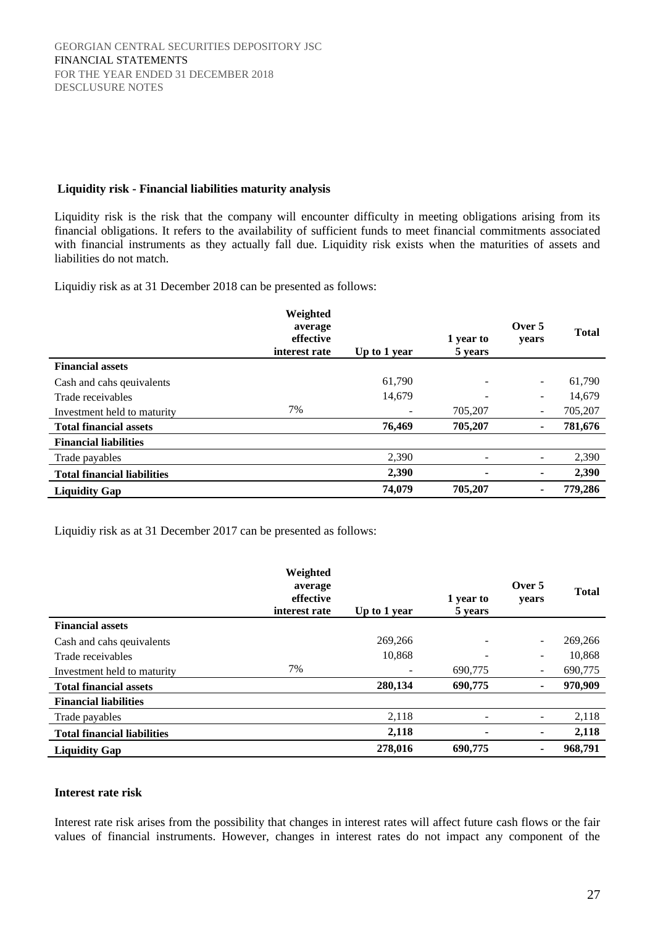#### **Liquidity risk - Financial liabilities maturity analysis**

Liquidity risk is the risk that the company will encounter difficulty in meeting obligations arising from its financial obligations. It refers to the availability of sufficient funds to meet financial commitments associated with financial instruments as they actually fall due. Liquidity risk exists when the maturities of assets and liabilities do not match.

Liquidiy risk as at 31 December 2018 can be presented as follows:

|                                    | Weighted<br>average<br>effective<br>interest rate | Up to 1 year             | 1 year to<br>5 years     | Over 5<br>years          | <b>Total</b> |
|------------------------------------|---------------------------------------------------|--------------------------|--------------------------|--------------------------|--------------|
| <b>Financial assets</b>            |                                                   |                          |                          |                          |              |
| Cash and cahs qeuivalents          |                                                   | 61.790                   |                          | -                        | 61,790       |
| Trade receivables                  |                                                   | 14,679                   | $\overline{\phantom{0}}$ | -                        | 14,679       |
| Investment held to maturity        | 7%                                                | $\overline{\phantom{a}}$ | 705,207                  | $\overline{a}$           | 705,207      |
| <b>Total financial assets</b>      |                                                   | 76,469                   | 705,207                  | $\blacksquare$           | 781,676      |
| <b>Financial liabilities</b>       |                                                   |                          |                          |                          |              |
| Trade payables                     |                                                   | 2,390                    | ٠                        | $\overline{\phantom{a}}$ | 2,390        |
| <b>Total financial liabilities</b> |                                                   | 2,390                    | ٠                        | ٠                        | 2,390        |
| <b>Liquidity Gap</b>               |                                                   | 74,079                   | 705,207                  | $\blacksquare$           | 779,286      |

Liquidiy risk as at 31 December 2017 can be presented as follows:

|                                    | Weighted<br>average<br>effective<br>interest rate | Up to 1 year             | 1 year to<br>5 years | Over 5<br>years          | <b>Total</b> |
|------------------------------------|---------------------------------------------------|--------------------------|----------------------|--------------------------|--------------|
| <b>Financial assets</b>            |                                                   |                          |                      |                          |              |
| Cash and cahs qeuivalents          |                                                   | 269,266                  |                      | -                        | 269,266      |
| Trade receivables                  |                                                   | 10.868                   |                      | -                        | 10,868       |
| Investment held to maturity        | 7%                                                | $\overline{\phantom{a}}$ | 690,775              | $\overline{\phantom{a}}$ | 690,775      |
| <b>Total financial assets</b>      |                                                   | 280,134                  | 690,775              | ۰                        | 970,909      |
| <b>Financial liabilities</b>       |                                                   |                          |                      |                          |              |
| Trade payables                     |                                                   | 2,118                    |                      | $\overline{\phantom{a}}$ | 2,118        |
| <b>Total financial liabilities</b> |                                                   | 2,118                    | $\blacksquare$       | $\blacksquare$           | 2,118        |
| <b>Liquidity Gap</b>               |                                                   | 278,016                  | 690,775              | ٠                        | 968,791      |

## **Interest rate risk**

Interest rate risk arises from the possibility that changes in interest rates will affect future cash flows or the fair values of financial instruments. However, changes in interest rates do not impact any component of the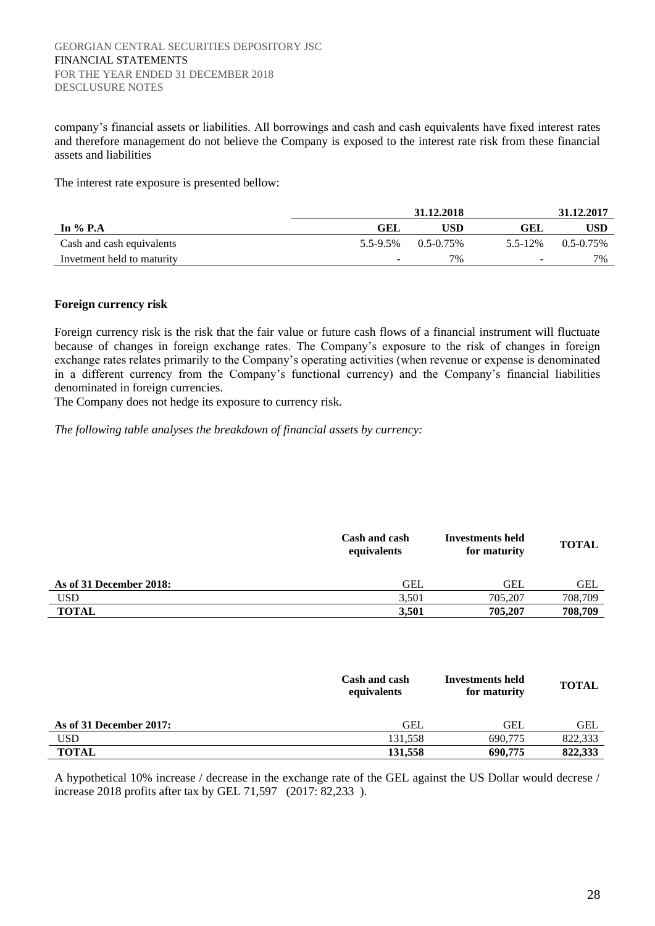company's financial assets or liabilities. All borrowings and cash and cash equivalents have fixed interest rates and therefore management do not believe the Company is exposed to the interest rate risk from these financial assets and liabilities

The interest rate exposure is presented bellow:

|                            |               | 31.12.2018     |              | 31.12.2017     |
|----------------------------|---------------|----------------|--------------|----------------|
| In $%$ P.A                 | <b>GEL</b>    | USD            | <b>GEL</b>   | <b>USD</b>     |
| Cash and cash equivalents  | $5.5 - 9.5\%$ | $0.5 - 0.75\%$ | $5.5 - 12\%$ | $0.5 - 0.75\%$ |
| Invetment held to maturity | -             | 7%             | -            | 7%             |

## **Foreign currency risk**

Foreign currency risk is the risk that the fair value or future cash flows of a financial instrument will fluctuate because of changes in foreign exchange rates. The Company's exposure to the risk of changes in foreign exchange rates relates primarily to the Company's operating activities (when revenue or expense is denominated in a different currency from the Company's functional currency) and the Company's financial liabilities denominated in foreign currencies.

The Company does not hedge its exposure to currency risk.

*The following table analyses the breakdown of financial assets by currency:*

|                         | Cash and cash<br>equivalents | Investments held<br>for maturity | <b>TOTAL</b> |
|-------------------------|------------------------------|----------------------------------|--------------|
| As of 31 December 2018: | GEL                          | GEL                              | GEL          |
| USD                     | 3,501                        | 705,207                          | 708,709      |
| <b>TOTAL</b>            | 3.501                        | 705,207                          | 708,709      |

|                         | <b>Cash and cash</b><br>equivalents | Investments held<br>for maturity | <b>TOTAL</b> |
|-------------------------|-------------------------------------|----------------------------------|--------------|
| As of 31 December 2017: | GEL                                 | <b>GEL</b>                       | <b>GEL</b>   |
| <b>USD</b>              | 131.558                             | 690.775                          | 822,333      |
| <b>TOTAL</b>            | 131,558                             | 690,775                          | 822,333      |

A hypothetical 10% increase / decrease in the exchange rate of the GEL against the US Dollar would decrese / increase 2018 profits after tax by GEL 71,597 (2017: 82,233 ).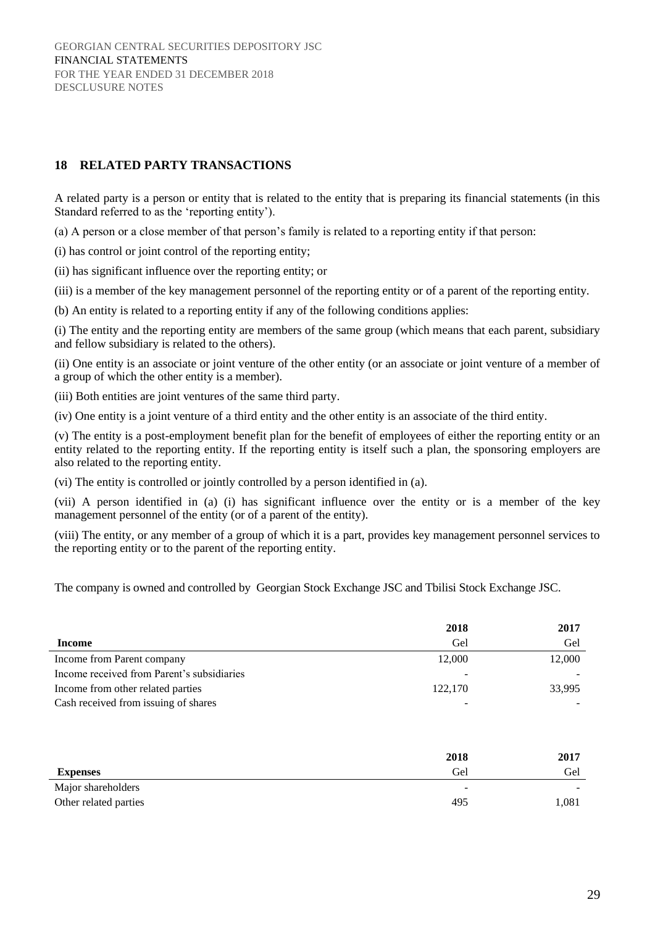## **18 RELATED PARTY TRANSACTIONS**

A related party is a person or entity that is related to the entity that is preparing its financial statements (in this Standard referred to as the 'reporting entity').

(a) A person or a close member of that person's family is related to a reporting entity if that person:

(i) has control or joint control of the reporting entity;

(ii) has significant influence over the reporting entity; or

(iii) is a member of the key management personnel of the reporting entity or of a parent of the reporting entity.

(b) An entity is related to a reporting entity if any of the following conditions applies:

(i) The entity and the reporting entity are members of the same group (which means that each parent, subsidiary and fellow subsidiary is related to the others).

(ii) One entity is an associate or joint venture of the other entity (or an associate or joint venture of a member of a group of which the other entity is a member).

(iii) Both entities are joint ventures of the same third party.

(iv) One entity is a joint venture of a third entity and the other entity is an associate of the third entity.

(v) The entity is a post-employment benefit plan for the benefit of employees of either the reporting entity or an entity related to the reporting entity. If the reporting entity is itself such a plan, the sponsoring employers are also related to the reporting entity.

(vi) The entity is controlled or jointly controlled by a person identified in (a).

(vii) A person identified in (a) (i) has significant influence over the entity or is a member of the key management personnel of the entity (or of a parent of the entity).

(viii) The entity, or any member of a group of which it is a part, provides key management personnel services to the reporting entity or to the parent of the reporting entity.

The company is owned and controlled by Georgian Stock Exchange JSC and Tbilisi Stock Exchange JSC.

|                                            | 2018    | 2017   |
|--------------------------------------------|---------|--------|
| <b>Income</b>                              | Gel     | Gel    |
| Income from Parent company                 | 12,000  | 12,000 |
| Income received from Parent's subsidiaries |         |        |
| Income from other related parties          | 122,170 | 33,995 |
| Cash received from issuing of shares       |         |        |
|                                            |         |        |
|                                            | 2018    | 2017   |
| <b>Expenses</b>                            | Gel     | Gel    |
| Major shareholders                         |         |        |
| Other related parties                      | 495     | 1,081  |